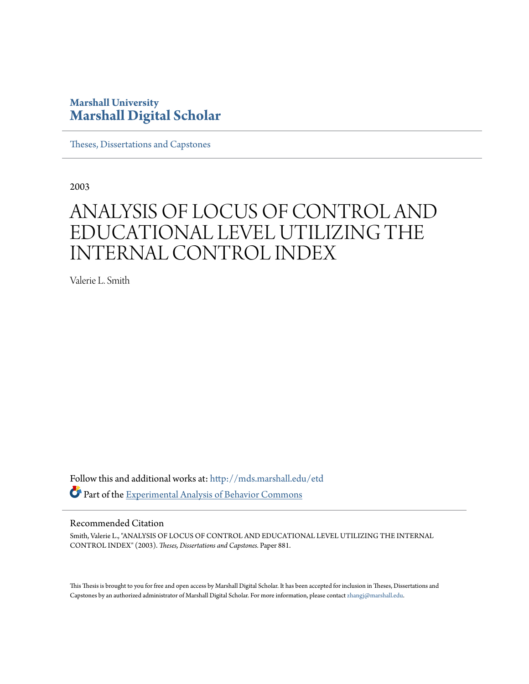### **Marshall University [Marshall Digital Scholar](http://mds.marshall.edu?utm_source=mds.marshall.edu%2Fetd%2F881&utm_medium=PDF&utm_campaign=PDFCoverPages)**

[Theses, Dissertations and Capstones](http://mds.marshall.edu/etd?utm_source=mds.marshall.edu%2Fetd%2F881&utm_medium=PDF&utm_campaign=PDFCoverPages)

2003

# ANALYSIS OF LOCUS OF CONTROL AND EDUCATIONAL LEVEL UTILIZING THE INTERNAL CONTROL INDEX

Valerie L. Smith

Follow this and additional works at: [http://mds.marshall.edu/etd](http://mds.marshall.edu/etd?utm_source=mds.marshall.edu%2Fetd%2F881&utm_medium=PDF&utm_campaign=PDFCoverPages) Part of the [Experimental Analysis of Behavior Commons](http://network.bepress.com/hgg/discipline/1236?utm_source=mds.marshall.edu%2Fetd%2F881&utm_medium=PDF&utm_campaign=PDFCoverPages)

#### Recommended Citation

Smith, Valerie L., "ANALYSIS OF LOCUS OF CONTROL AND EDUCATIONAL LEVEL UTILIZING THE INTERNAL CONTROL INDEX" (2003). *Theses, Dissertations and Capstones.* Paper 881.

This Thesis is brought to you for free and open access by Marshall Digital Scholar. It has been accepted for inclusion in Theses, Dissertations and Capstones by an authorized administrator of Marshall Digital Scholar. For more information, please contact [zhangj@marshall.edu.](mailto:zhangj@marshall.edu)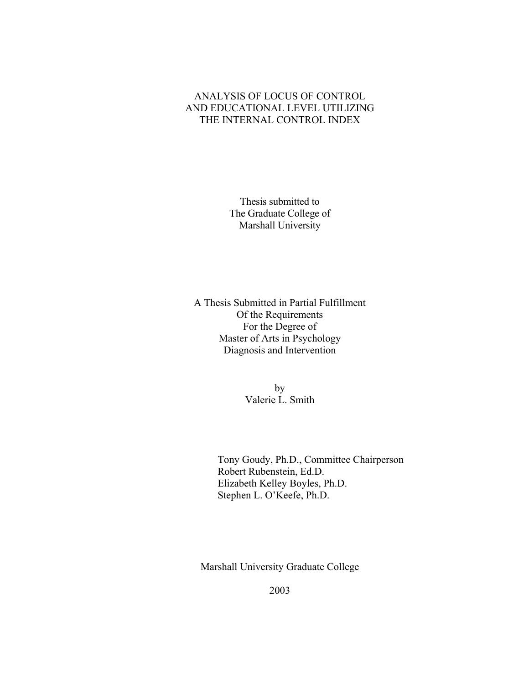### ANALYSIS OF LOCUS OF CONTROL AND EDUCATIONAL LEVEL UTILIZING THE INTERNAL CONTROL INDEX

Thesis submitted to The Graduate College of Marshall University

A Thesis Submitted in Partial Fulfillment Of the Requirements For the Degree of Master of Arts in Psychology Diagnosis and Intervention

> by Valerie L. Smith

Tony Goudy, Ph.D., Committee Chairperson Robert Rubenstein, Ed.D. Elizabeth Kelley Boyles, Ph.D. Stephen L. O'Keefe, Ph.D.

Marshall University Graduate College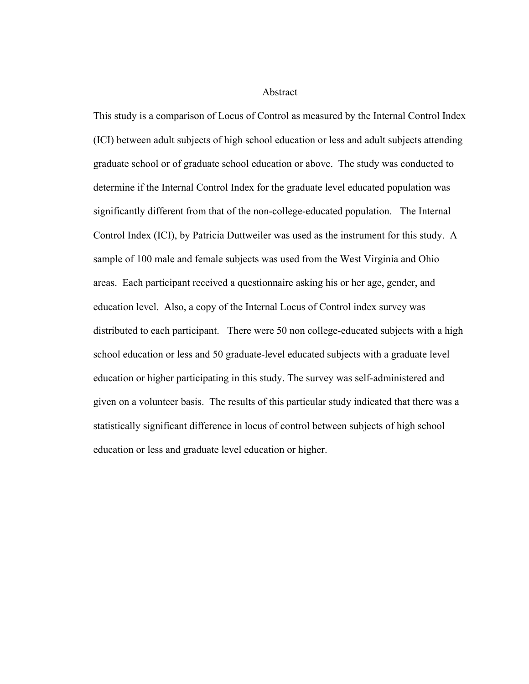Abstract

This study is a comparison of Locus of Control as measured by the Internal Control Index (ICI) between adult subjects of high school education or less and adult subjects attending graduate school or of graduate school education or above. The study was conducted to determine if the Internal Control Index for the graduate level educated population was significantly different from that of the non-college-educated population. The Internal Control Index (ICI), by Patricia Duttweiler was used as the instrument for this study. A sample of 100 male and female subjects was used from the West Virginia and Ohio areas. Each participant received a questionnaire asking his or her age, gender, and education level. Also, a copy of the Internal Locus of Control index survey was distributed to each participant. There were 50 non college-educated subjects with a high school education or less and 50 graduate-level educated subjects with a graduate level education or higher participating in this study. The survey was self-administered and given on a volunteer basis. The results of this particular study indicated that there was a statistically significant difference in locus of control between subjects of high school education or less and graduate level education or higher.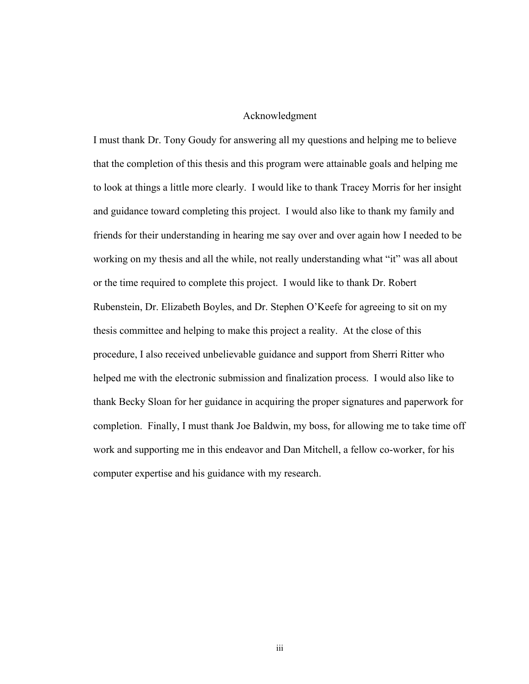#### Acknowledgment

I must thank Dr. Tony Goudy for answering all my questions and helping me to believe that the completion of this thesis and this program were attainable goals and helping me to look at things a little more clearly. I would like to thank Tracey Morris for her insight and guidance toward completing this project. I would also like to thank my family and friends for their understanding in hearing me say over and over again how I needed to be working on my thesis and all the while, not really understanding what "it" was all about or the time required to complete this project. I would like to thank Dr. Robert Rubenstein, Dr. Elizabeth Boyles, and Dr. Stephen O'Keefe for agreeing to sit on my thesis committee and helping to make this project a reality. At the close of this procedure, I also received unbelievable guidance and support from Sherri Ritter who helped me with the electronic submission and finalization process. I would also like to thank Becky Sloan for her guidance in acquiring the proper signatures and paperwork for completion. Finally, I must thank Joe Baldwin, my boss, for allowing me to take time off work and supporting me in this endeavor and Dan Mitchell, a fellow co-worker, for his computer expertise and his guidance with my research.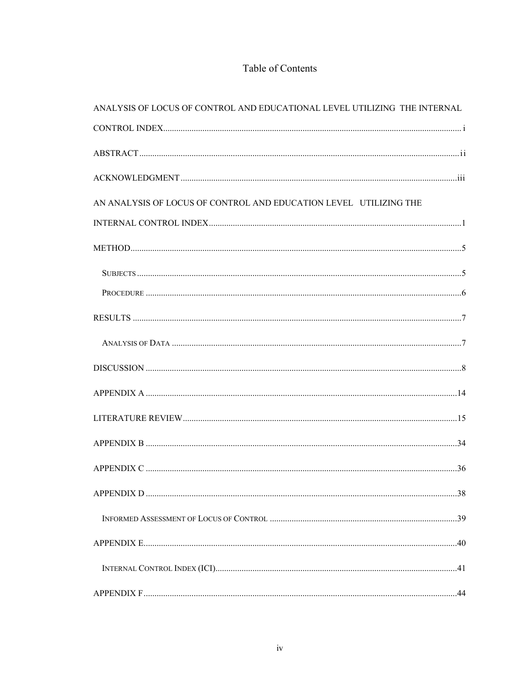### Table of Contents

| ANALYSIS OF LOCUS OF CONTROL AND EDUCATIONAL LEVEL UTILIZING THE INTERNAL |  |
|---------------------------------------------------------------------------|--|
|                                                                           |  |
|                                                                           |  |
|                                                                           |  |
| AN ANALYSIS OF LOCUS OF CONTROL AND EDUCATION LEVEL UTILIZING THE         |  |
|                                                                           |  |
|                                                                           |  |
|                                                                           |  |
|                                                                           |  |
|                                                                           |  |
|                                                                           |  |
|                                                                           |  |
|                                                                           |  |
|                                                                           |  |
|                                                                           |  |
|                                                                           |  |
|                                                                           |  |
|                                                                           |  |
|                                                                           |  |
|                                                                           |  |
|                                                                           |  |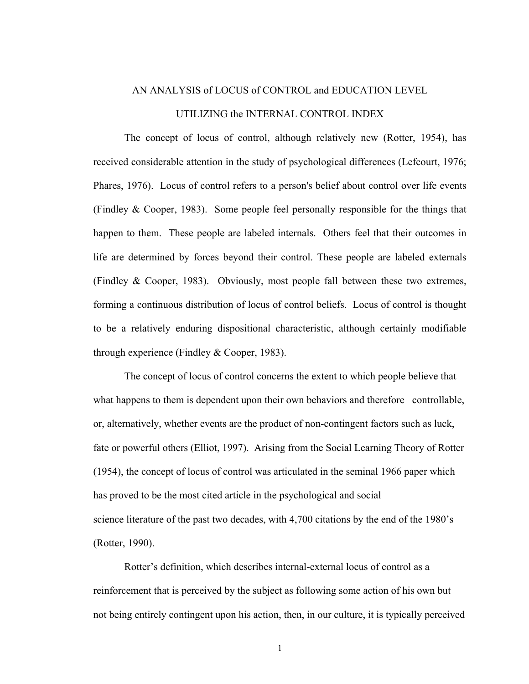# AN ANALYSIS of LOCUS of CONTROL and EDUCATION LEVEL UTILIZING the INTERNAL CONTROL INDEX

The concept of locus of control, although relatively new (Rotter, 1954), has received considerable attention in the study of psychological differences (Lefcourt, 1976; Phares, 1976). Locus of control refers to a person's belief about control over life events (Findley & Cooper, 1983). Some people feel personally responsible for the things that happen to them. These people are labeled internals. Others feel that their outcomes in life are determined by forces beyond their control. These people are labeled externals (Findley & Cooper, 1983). Obviously, most people fall between these two extremes, forming a continuous distribution of locus of control beliefs. Locus of control is thought to be a relatively enduring dispositional characteristic, although certainly modifiable through experience (Findley & Cooper, 1983).

The concept of locus of control concerns the extent to which people believe that what happens to them is dependent upon their own behaviors and therefore controllable, or, alternatively, whether events are the product of non-contingent factors such as luck, fate or powerful others (Elliot, 1997). Arising from the Social Learning Theory of Rotter (1954), the concept of locus of control was articulated in the seminal 1966 paper which has proved to be the most cited article in the psychological and social science literature of the past two decades, with 4,700 citations by the end of the 1980's (Rotter, 1990).

Rotter's definition, which describes internal-external locus of control as a reinforcement that is perceived by the subject as following some action of his own but not being entirely contingent upon his action, then, in our culture, it is typically perceived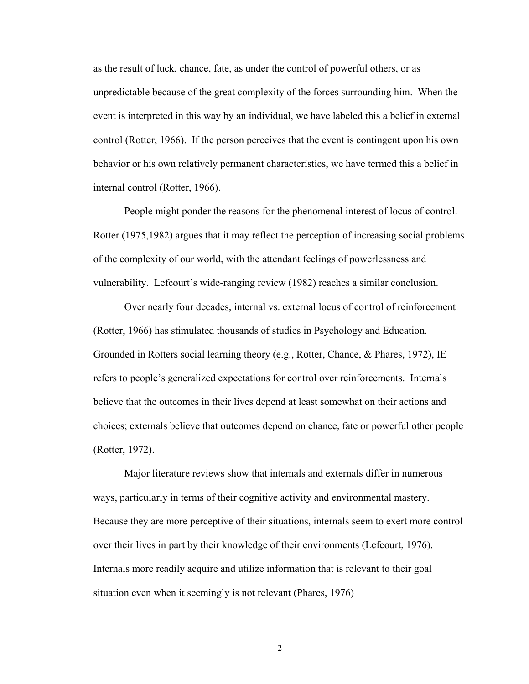as the result of luck, chance, fate, as under the control of powerful others, or as unpredictable because of the great complexity of the forces surrounding him. When the event is interpreted in this way by an individual, we have labeled this a belief in external control (Rotter, 1966). If the person perceives that the event is contingent upon his own behavior or his own relatively permanent characteristics, we have termed this a belief in internal control (Rotter, 1966).

People might ponder the reasons for the phenomenal interest of locus of control. Rotter (1975,1982) argues that it may reflect the perception of increasing social problems of the complexity of our world, with the attendant feelings of powerlessness and vulnerability. Lefcourt's wide-ranging review (1982) reaches a similar conclusion.

Over nearly four decades, internal vs. external locus of control of reinforcement (Rotter, 1966) has stimulated thousands of studies in Psychology and Education. Grounded in Rotters social learning theory (e.g., Rotter, Chance, & Phares, 1972), IE refers to people's generalized expectations for control over reinforcements. Internals believe that the outcomes in their lives depend at least somewhat on their actions and choices; externals believe that outcomes depend on chance, fate or powerful other people (Rotter, 1972).

Major literature reviews show that internals and externals differ in numerous ways, particularly in terms of their cognitive activity and environmental mastery. Because they are more perceptive of their situations, internals seem to exert more control over their lives in part by their knowledge of their environments (Lefcourt, 1976). Internals more readily acquire and utilize information that is relevant to their goal situation even when it seemingly is not relevant (Phares, 1976)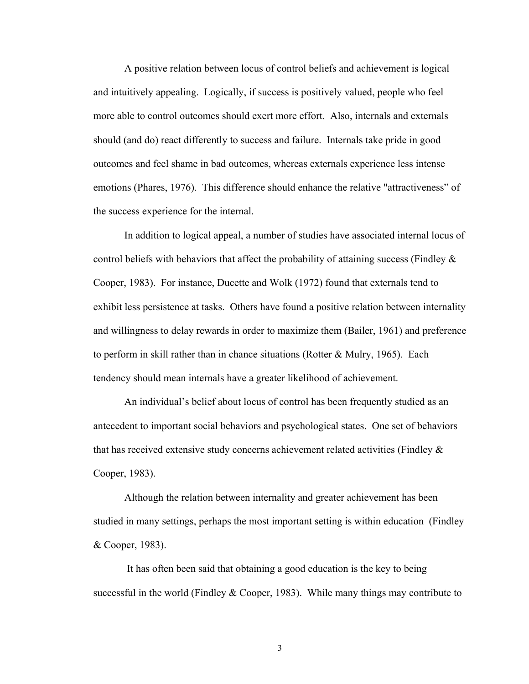A positive relation between locus of control beliefs and achievement is logical and intuitively appealing. Logically, if success is positively valued, people who feel more able to control outcomes should exert more effort. Also, internals and externals should (and do) react differently to success and failure. Internals take pride in good outcomes and feel shame in bad outcomes, whereas externals experience less intense emotions (Phares, 1976). This difference should enhance the relative "attractiveness" of the success experience for the internal.

In addition to logical appeal, a number of studies have associated internal locus of control beliefs with behaviors that affect the probability of attaining success (Findley & Cooper, 1983). For instance, Ducette and Wolk (1972) found that externals tend to exhibit less persistence at tasks. Others have found a positive relation between internality and willingness to delay rewards in order to maximize them (Bailer, 1961) and preference to perform in skill rather than in chance situations (Rotter & Mulry, 1965). Each tendency should mean internals have a greater likelihood of achievement.

An individual's belief about locus of control has been frequently studied as an antecedent to important social behaviors and psychological states. One set of behaviors that has received extensive study concerns achievement related activities (Findley & Cooper, 1983).

Although the relation between internality and greater achievement has been studied in many settings, perhaps the most important setting is within education (Findley & Cooper, 1983).

 It has often been said that obtaining a good education is the key to being successful in the world (Findley  $& Cooper, 1983)$ . While many things may contribute to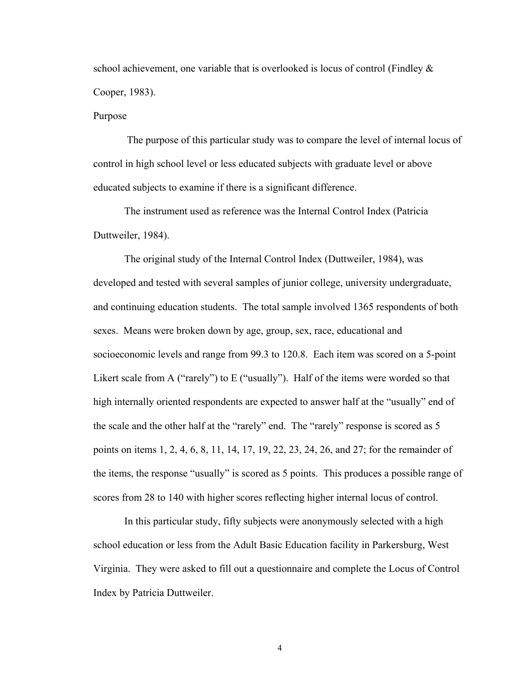school achievement, one variable that is overlooked is locus of control (Findley  $\&$ Cooper, 1983).

#### Purpose

 The purpose of this particular study was to compare the level of internal locus of control in high school level or less educated subjects with graduate level or above educated subjects to examine if there is a significant difference.

The instrument used as reference was the Internal Control Index (Patricia Duttweiler, 1984).

The original study of the Internal Control Index (Duttweiler, 1984), was developed and tested with several samples of junior college, university undergraduate, and continuing education students. The total sample involved 1365 respondents of both sexes. Means were broken down by age, group, sex, race, educational and socioeconomic levels and range from 99.3 to 120.8. Each item was scored on a 5-point Likert scale from A ("rarely") to E ("usually"). Half of the items were worded so that high internally oriented respondents are expected to answer half at the "usually" end of the scale and the other half at the "rarely" end. The "rarely" response is scored as 5 points on items 1, 2, 4, 6, 8, 11, 14, 17, 19, 22, 23, 24, 26, and 27; for the remainder of the items, the response "usually" is scored as 5 points. This produces a possible range of scores from 28 to 140 with higher scores reflecting higher internal locus of control.

In this particular study, fifty subjects were anonymously selected with a high school education or less from the Adult Basic Education facility in Parkersburg, West Virginia. They were asked to fill out a questionnaire and complete the Locus of Control Index by Patricia Duttweiler.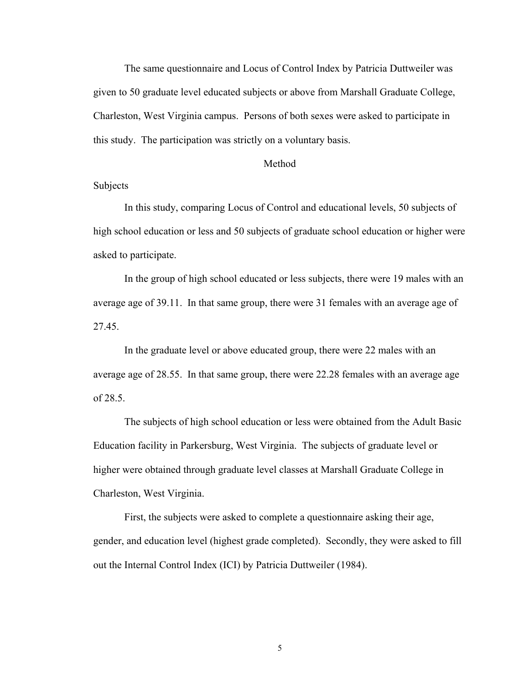The same questionnaire and Locus of Control Index by Patricia Duttweiler was given to 50 graduate level educated subjects or above from Marshall Graduate College, Charleston, West Virginia campus. Persons of both sexes were asked to participate in this study. The participation was strictly on a voluntary basis.

#### Method

#### Subjects

In this study, comparing Locus of Control and educational levels, 50 subjects of high school education or less and 50 subjects of graduate school education or higher were asked to participate.

In the group of high school educated or less subjects, there were 19 males with an average age of 39.11. In that same group, there were 31 females with an average age of 27.45.

In the graduate level or above educated group, there were 22 males with an average age of 28.55. In that same group, there were 22.28 females with an average age of 28.5.

The subjects of high school education or less were obtained from the Adult Basic Education facility in Parkersburg, West Virginia. The subjects of graduate level or higher were obtained through graduate level classes at Marshall Graduate College in Charleston, West Virginia.

First, the subjects were asked to complete a questionnaire asking their age, gender, and education level (highest grade completed). Secondly, they were asked to fill out the Internal Control Index (ICI) by Patricia Duttweiler (1984).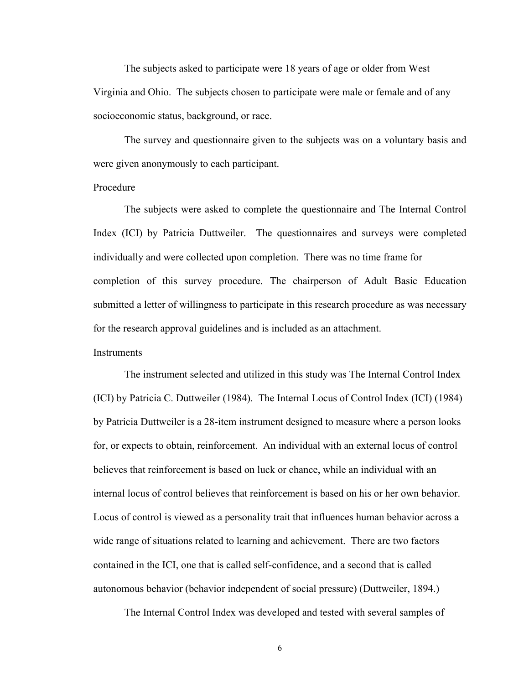The subjects asked to participate were 18 years of age or older from West Virginia and Ohio. The subjects chosen to participate were male or female and of any socioeconomic status, background, or race.

 The survey and questionnaire given to the subjects was on a voluntary basis and were given anonymously to each participant.

#### Procedure

The subjects were asked to complete the questionnaire and The Internal Control Index (ICI) by Patricia Duttweiler. The questionnaires and surveys were completed individually and were collected upon completion. There was no time frame for completion of this survey procedure. The chairperson of Adult Basic Education submitted a letter of willingness to participate in this research procedure as was necessary for the research approval guidelines and is included as an attachment.

#### **Instruments**

The instrument selected and utilized in this study was The Internal Control Index (ICI) by Patricia C. Duttweiler (1984). The Internal Locus of Control Index (ICI) (1984) by Patricia Duttweiler is a 28-item instrument designed to measure where a person looks for, or expects to obtain, reinforcement. An individual with an external locus of control believes that reinforcement is based on luck or chance, while an individual with an internal locus of control believes that reinforcement is based on his or her own behavior. Locus of control is viewed as a personality trait that influences human behavior across a wide range of situations related to learning and achievement. There are two factors contained in the ICI, one that is called self-confidence, and a second that is called autonomous behavior (behavior independent of social pressure) (Duttweiler, 1894.)

The Internal Control Index was developed and tested with several samples of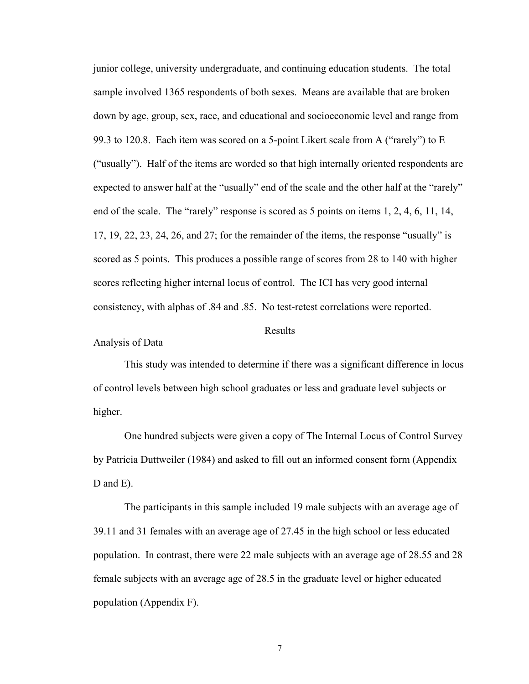junior college, university undergraduate, and continuing education students. The total sample involved 1365 respondents of both sexes. Means are available that are broken down by age, group, sex, race, and educational and socioeconomic level and range from 99.3 to 120.8. Each item was scored on a 5-point Likert scale from A ("rarely") to E ("usually"). Half of the items are worded so that high internally oriented respondents are expected to answer half at the "usually" end of the scale and the other half at the "rarely" end of the scale. The "rarely" response is scored as 5 points on items 1, 2, 4, 6, 11, 14, 17, 19, 22, 23, 24, 26, and 27; for the remainder of the items, the response "usually" is scored as 5 points. This produces a possible range of scores from 28 to 140 with higher scores reflecting higher internal locus of control. The ICI has very good internal consistency, with alphas of .84 and .85. No test-retest correlations were reported.

#### Results

Analysis of Data

This study was intended to determine if there was a significant difference in locus of control levels between high school graduates or less and graduate level subjects or higher.

 One hundred subjects were given a copy of The Internal Locus of Control Survey by Patricia Duttweiler (1984) and asked to fill out an informed consent form (Appendix D and E).

 The participants in this sample included 19 male subjects with an average age of 39.11 and 31 females with an average age of 27.45 in the high school or less educated population. In contrast, there were 22 male subjects with an average age of 28.55 and 28 female subjects with an average age of 28.5 in the graduate level or higher educated population (Appendix F).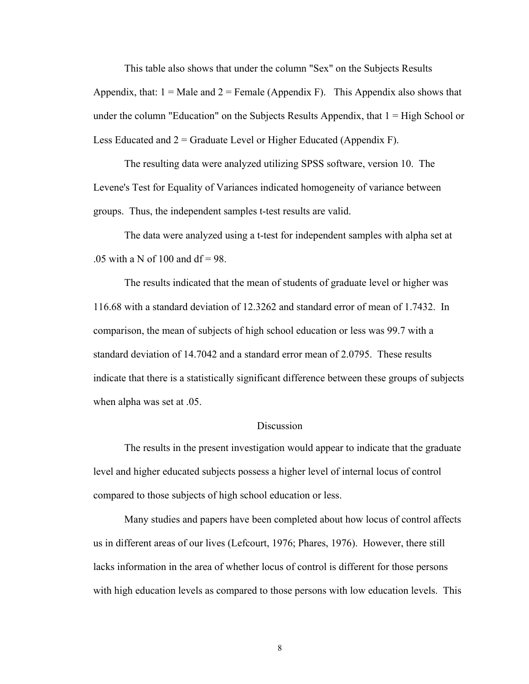This table also shows that under the column "Sex" on the Subjects Results Appendix, that:  $1 =$ Male and  $2 =$  Female (Appendix F). This Appendix also shows that under the column "Education" on the Subjects Results Appendix, that  $1 = High School$  or Less Educated and  $2 =$  Graduate Level or Higher Educated (Appendix F).

The resulting data were analyzed utilizing SPSS software, version 10. The Levene's Test for Equality of Variances indicated homogeneity of variance between groups. Thus, the independent samples t-test results are valid.

 The data were analyzed using a t-test for independent samples with alpha set at .05 with a N of 100 and  $df = 98$ .

The results indicated that the mean of students of graduate level or higher was 116.68 with a standard deviation of 12.3262 and standard error of mean of 1.7432. In comparison, the mean of subjects of high school education or less was 99.7 with a standard deviation of 14.7042 and a standard error mean of 2.0795. These results indicate that there is a statistically significant difference between these groups of subjects when alpha was set at .05.

#### Discussion

The results in the present investigation would appear to indicate that the graduate level and higher educated subjects possess a higher level of internal locus of control compared to those subjects of high school education or less.

Many studies and papers have been completed about how locus of control affects us in different areas of our lives (Lefcourt, 1976; Phares, 1976). However, there still lacks information in the area of whether locus of control is different for those persons with high education levels as compared to those persons with low education levels. This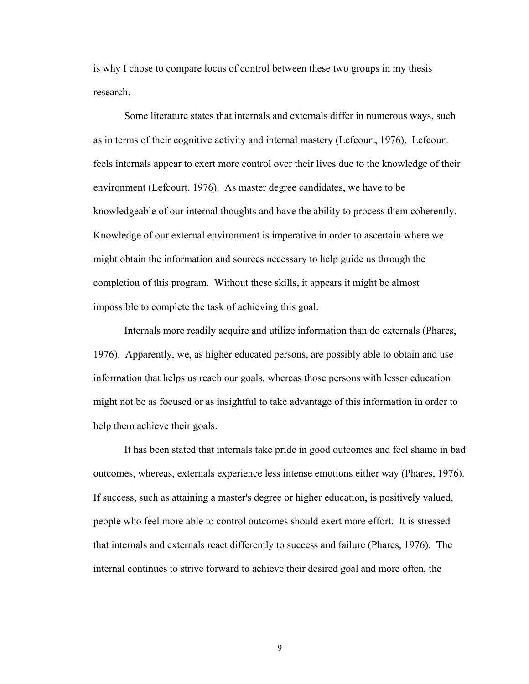is why I chose to compare locus of control between these two groups in my thesis research.

Some literature states that internals and externals differ in numerous ways, such as in terms of their cognitive activity and internal mastery (Lefcourt, 1976). Lefcourt feels internals appear to exert more control over their lives due to the knowledge of their environment (Lefcourt, 1976). As master degree candidates, we have to be knowledgeable of our internal thoughts and have the ability to process them coherently. Knowledge of our external environment is imperative in order to ascertain where we might obtain the information and sources necessary to help guide us through the completion of this program. Without these skills, it appears it might be almost impossible to complete the task of achieving this goal.

Internals more readily acquire and utilize information than do externals (Phares, 1976). Apparently, we, as higher educated persons, are possibly able to obtain and use information that helps us reach our goals, whereas those persons with lesser education might not be as focused or as insightful to take advantage of this information in order to help them achieve their goals.

It has been stated that internals take pride in good outcomes and feel shame in bad outcomes, whereas, externals experience less intense emotions either way (Phares, 1976). If success, such as attaining a master's degree or higher education, is positively valued, people who feel more able to control outcomes should exert more effort. It is stressed that internals and externals react differently to success and failure (Phares, 1976). The internal continues to strive forward to achieve their desired goal and more often, the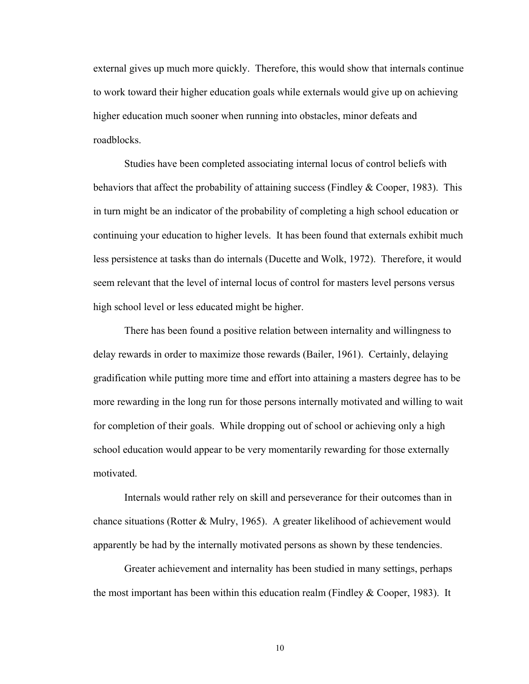external gives up much more quickly. Therefore, this would show that internals continue to work toward their higher education goals while externals would give up on achieving higher education much sooner when running into obstacles, minor defeats and roadblocks.

Studies have been completed associating internal locus of control beliefs with behaviors that affect the probability of attaining success (Findley & Cooper, 1983). This in turn might be an indicator of the probability of completing a high school education or continuing your education to higher levels. It has been found that externals exhibit much less persistence at tasks than do internals (Ducette and Wolk, 1972). Therefore, it would seem relevant that the level of internal locus of control for masters level persons versus high school level or less educated might be higher.

There has been found a positive relation between internality and willingness to delay rewards in order to maximize those rewards (Bailer, 1961). Certainly, delaying gradification while putting more time and effort into attaining a masters degree has to be more rewarding in the long run for those persons internally motivated and willing to wait for completion of their goals. While dropping out of school or achieving only a high school education would appear to be very momentarily rewarding for those externally motivated.

Internals would rather rely on skill and perseverance for their outcomes than in chance situations (Rotter & Mulry, 1965). A greater likelihood of achievement would apparently be had by the internally motivated persons as shown by these tendencies.

Greater achievement and internality has been studied in many settings, perhaps the most important has been within this education realm (Findley  $& Cooper, 1983)$ . It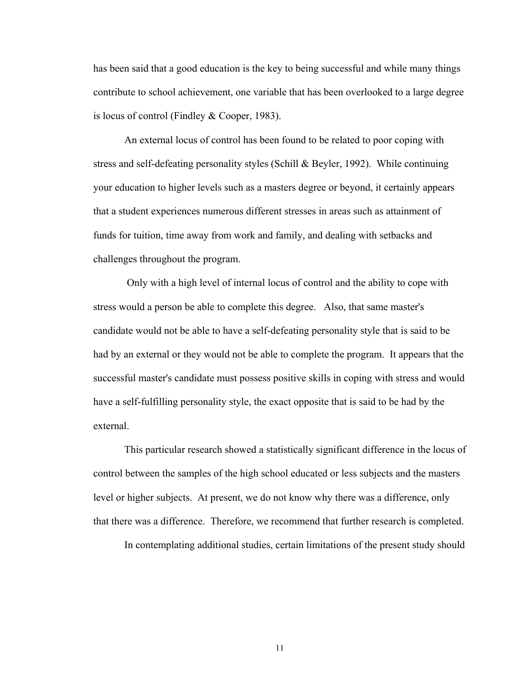has been said that a good education is the key to being successful and while many things contribute to school achievement, one variable that has been overlooked to a large degree is locus of control (Findley & Cooper, 1983).

An external locus of control has been found to be related to poor coping with stress and self-defeating personality styles (Schill & Beyler, 1992). While continuing your education to higher levels such as a masters degree or beyond, it certainly appears that a student experiences numerous different stresses in areas such as attainment of funds for tuition, time away from work and family, and dealing with setbacks and challenges throughout the program.

 Only with a high level of internal locus of control and the ability to cope with stress would a person be able to complete this degree. Also, that same master's candidate would not be able to have a self-defeating personality style that is said to be had by an external or they would not be able to complete the program. It appears that the successful master's candidate must possess positive skills in coping with stress and would have a self-fulfilling personality style, the exact opposite that is said to be had by the external.

This particular research showed a statistically significant difference in the locus of control between the samples of the high school educated or less subjects and the masters level or higher subjects. At present, we do not know why there was a difference, only that there was a difference. Therefore, we recommend that further research is completed.

In contemplating additional studies, certain limitations of the present study should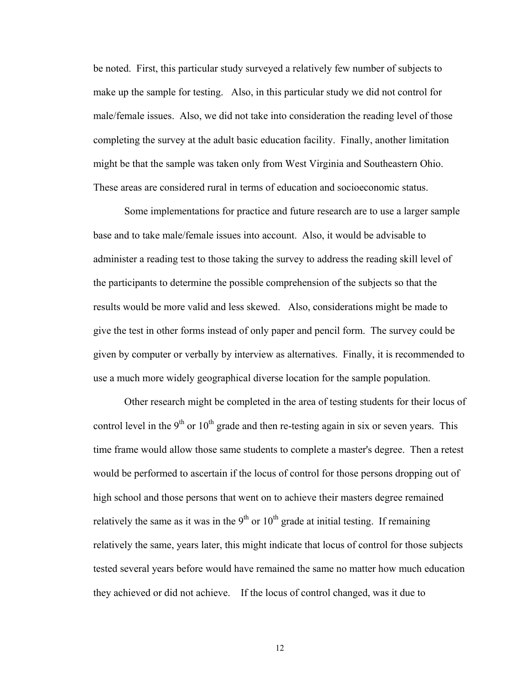be noted. First, this particular study surveyed a relatively few number of subjects to make up the sample for testing. Also, in this particular study we did not control for male/female issues. Also, we did not take into consideration the reading level of those completing the survey at the adult basic education facility. Finally, another limitation might be that the sample was taken only from West Virginia and Southeastern Ohio. These areas are considered rural in terms of education and socioeconomic status.

Some implementations for practice and future research are to use a larger sample base and to take male/female issues into account. Also, it would be advisable to administer a reading test to those taking the survey to address the reading skill level of the participants to determine the possible comprehension of the subjects so that the results would be more valid and less skewed. Also, considerations might be made to give the test in other forms instead of only paper and pencil form. The survey could be given by computer or verbally by interview as alternatives. Finally, it is recommended to use a much more widely geographical diverse location for the sample population.

Other research might be completed in the area of testing students for their locus of control level in the  $9<sup>th</sup>$  or  $10<sup>th</sup>$  grade and then re-testing again in six or seven years. This time frame would allow those same students to complete a master's degree. Then a retest would be performed to ascertain if the locus of control for those persons dropping out of high school and those persons that went on to achieve their masters degree remained relatively the same as it was in the  $9<sup>th</sup>$  or  $10<sup>th</sup>$  grade at initial testing. If remaining relatively the same, years later, this might indicate that locus of control for those subjects tested several years before would have remained the same no matter how much education they achieved or did not achieve. If the locus of control changed, was it due to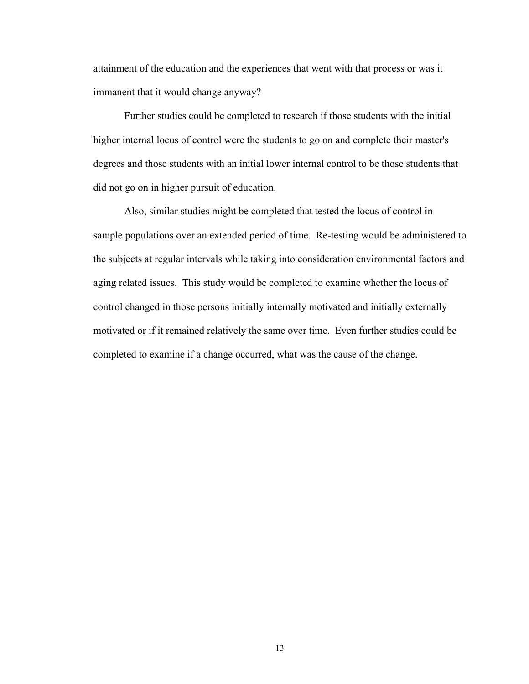attainment of the education and the experiences that went with that process or was it immanent that it would change anyway?

Further studies could be completed to research if those students with the initial higher internal locus of control were the students to go on and complete their master's degrees and those students with an initial lower internal control to be those students that did not go on in higher pursuit of education.

Also, similar studies might be completed that tested the locus of control in sample populations over an extended period of time. Re-testing would be administered to the subjects at regular intervals while taking into consideration environmental factors and aging related issues. This study would be completed to examine whether the locus of control changed in those persons initially internally motivated and initially externally motivated or if it remained relatively the same over time. Even further studies could be completed to examine if a change occurred, what was the cause of the change.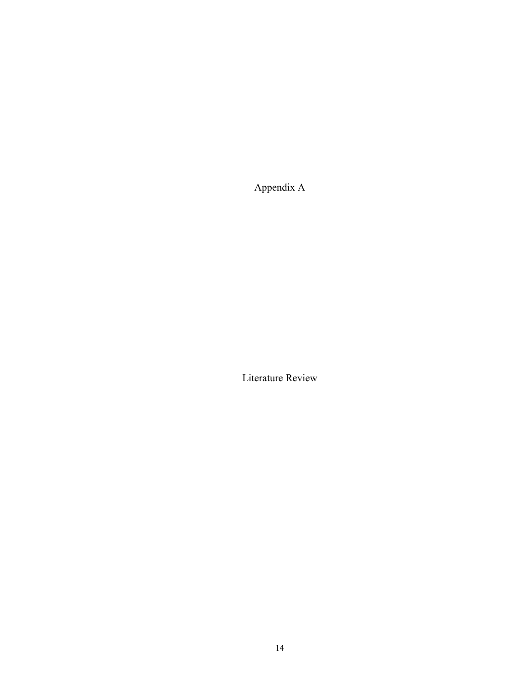Appendix A

Literature Review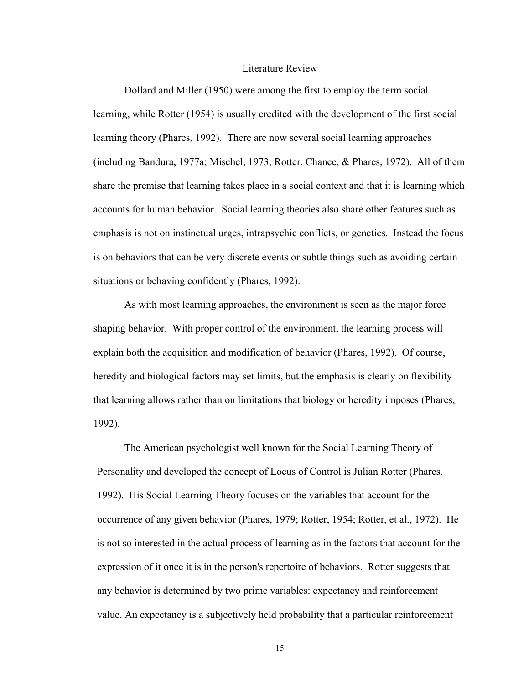#### Literature Review

Dollard and Miller (1950) were among the first to employ the term social learning, while Rotter (1954) is usually credited with the development of the first social learning theory (Phares, 1992). There are now several social learning approaches (including Bandura, 1977a; Mischel, 1973; Rotter, Chance, & Phares, 1972). All of them share the premise that learning takes place in a social context and that it is learning which accounts for human behavior. Social learning theories also share other features such as emphasis is not on instinctual urges, intrapsychic conflicts, or genetics. Instead the focus is on behaviors that can be very discrete events or subtle things such as avoiding certain situations or behaving confidently (Phares, 1992).

 As with most learning approaches, the environment is seen as the major force shaping behavior. With proper control of the environment, the learning process will explain both the acquisition and modification of behavior (Phares, 1992). Of course, heredity and biological factors may set limits, but the emphasis is clearly on flexibility that learning allows rather than on limitations that biology or heredity imposes (Phares, 1992).

The American psychologist well known for the Social Learning Theory of Personality and developed the concept of Locus of Control is Julian Rotter (Phares, 1992). His Social Learning Theory focuses on the variables that account for the occurrence of any given behavior (Phares, 1979; Rotter, 1954; Rotter, et al., 1972). He is not so interested in the actual process of learning as in the factors that account for the expression of it once it is in the person's repertoire of behaviors. Rotter suggests that any behavior is determined by two prime variables: expectancy and reinforcement value. An expectancy is a subjectively held probability that a particular reinforcement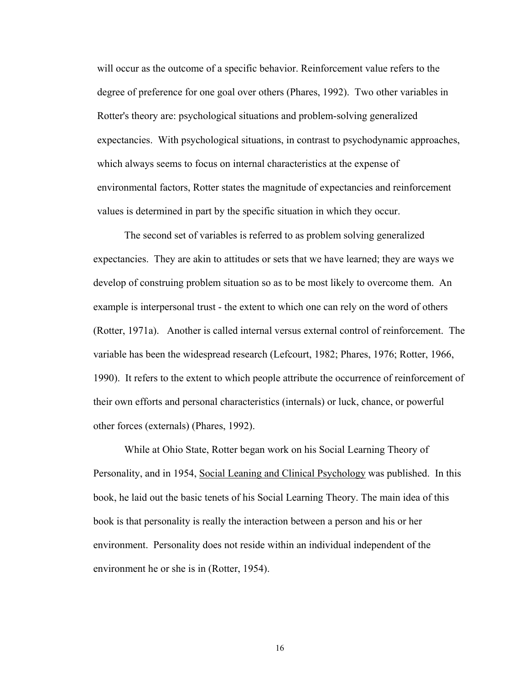will occur as the outcome of a specific behavior. Reinforcement value refers to the degree of preference for one goal over others (Phares, 1992). Two other variables in Rotter's theory are: psychological situations and problem-solving generalized expectancies. With psychological situations, in contrast to psychodynamic approaches, which always seems to focus on internal characteristics at the expense of environmental factors, Rotter states the magnitude of expectancies and reinforcement values is determined in part by the specific situation in which they occur.

 The second set of variables is referred to as problem solving generalized expectancies. They are akin to attitudes or sets that we have learned; they are ways we develop of construing problem situation so as to be most likely to overcome them. An example is interpersonal trust - the extent to which one can rely on the word of others (Rotter, 1971a). Another is called internal versus external control of reinforcement. The variable has been the widespread research (Lefcourt, 1982; Phares, 1976; Rotter, 1966, 1990). It refers to the extent to which people attribute the occurrence of reinforcement of their own efforts and personal characteristics (internals) or luck, chance, or powerful other forces (externals) (Phares, 1992).

While at Ohio State, Rotter began work on his Social Learning Theory of Personality, and in 1954, Social Leaning and Clinical Psychology was published. In this book, he laid out the basic tenets of his Social Learning Theory. The main idea of this book is that personality is really the interaction between a person and his or her environment. Personality does not reside within an individual independent of the environment he or she is in (Rotter, 1954).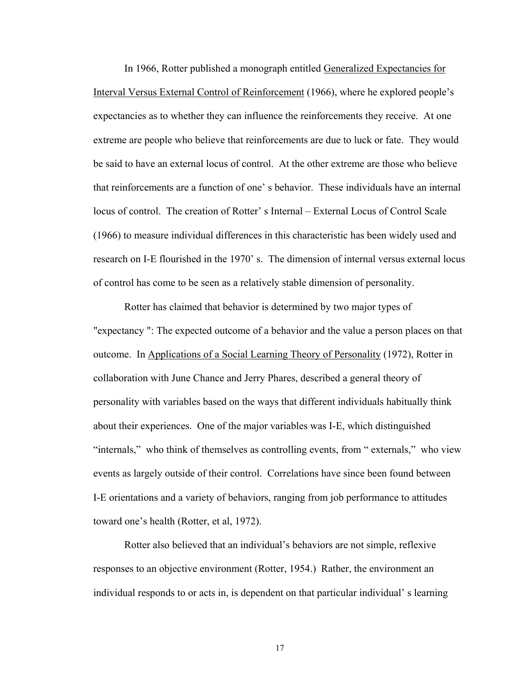In 1966, Rotter published a monograph entitled Generalized Expectancies for Interval Versus External Control of Reinforcement (1966), where he explored people's expectancies as to whether they can influence the reinforcements they receive. At one extreme are people who believe that reinforcements are due to luck or fate. They would be said to have an external locus of control. At the other extreme are those who believe that reinforcements are a function of one' s behavior. These individuals have an internal locus of control. The creation of Rotter' s Internal – External Locus of Control Scale (1966) to measure individual differences in this characteristic has been widely used and research on I-E flourished in the 1970' s. The dimension of internal versus external locus of control has come to be seen as a relatively stable dimension of personality.

 Rotter has claimed that behavior is determined by two major types of "expectancy ": The expected outcome of a behavior and the value a person places on that outcome. In Applications of a Social Learning Theory of Personality (1972), Rotter in collaboration with June Chance and Jerry Phares, described a general theory of personality with variables based on the ways that different individuals habitually think about their experiences. One of the major variables was I-E, which distinguished "internals," who think of themselves as controlling events, from " externals," who view events as largely outside of their control. Correlations have since been found between I-E orientations and a variety of behaviors, ranging from job performance to attitudes toward one's health (Rotter, et al, 1972).

 Rotter also believed that an individual's behaviors are not simple, reflexive responses to an objective environment (Rotter, 1954.) Rather, the environment an individual responds to or acts in, is dependent on that particular individual' s learning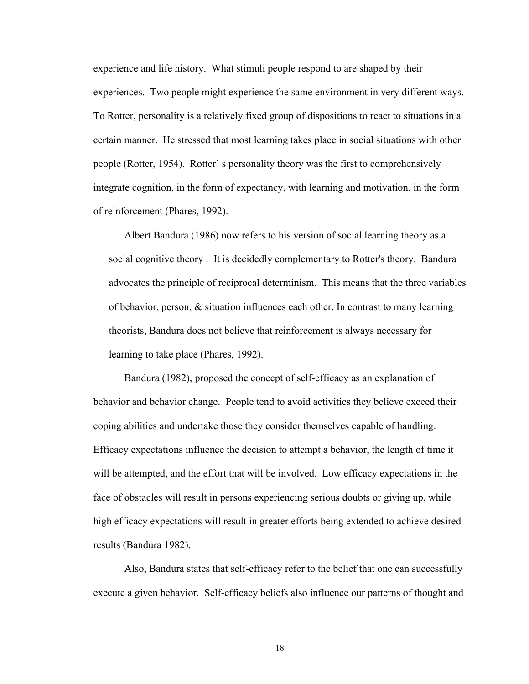experience and life history. What stimuli people respond to are shaped by their experiences. Two people might experience the same environment in very different ways. To Rotter, personality is a relatively fixed group of dispositions to react to situations in a certain manner. He stressed that most learning takes place in social situations with other people (Rotter, 1954). Rotter' s personality theory was the first to comprehensively integrate cognition, in the form of expectancy, with learning and motivation, in the form of reinforcement (Phares, 1992).

 Albert Bandura (1986) now refers to his version of social learning theory as a social cognitive theory . It is decidedly complementary to Rotter's theory. Bandura advocates the principle of reciprocal determinism. This means that the three variables of behavior, person, & situation influences each other. In contrast to many learning theorists, Bandura does not believe that reinforcement is always necessary for learning to take place (Phares, 1992).

Bandura (1982), proposed the concept of self-efficacy as an explanation of behavior and behavior change. People tend to avoid activities they believe exceed their coping abilities and undertake those they consider themselves capable of handling. Efficacy expectations influence the decision to attempt a behavior, the length of time it will be attempted, and the effort that will be involved. Low efficacy expectations in the face of obstacles will result in persons experiencing serious doubts or giving up, while high efficacy expectations will result in greater efforts being extended to achieve desired results (Bandura 1982).

Also, Bandura states that self-efficacy refer to the belief that one can successfully execute a given behavior. Self-efficacy beliefs also influence our patterns of thought and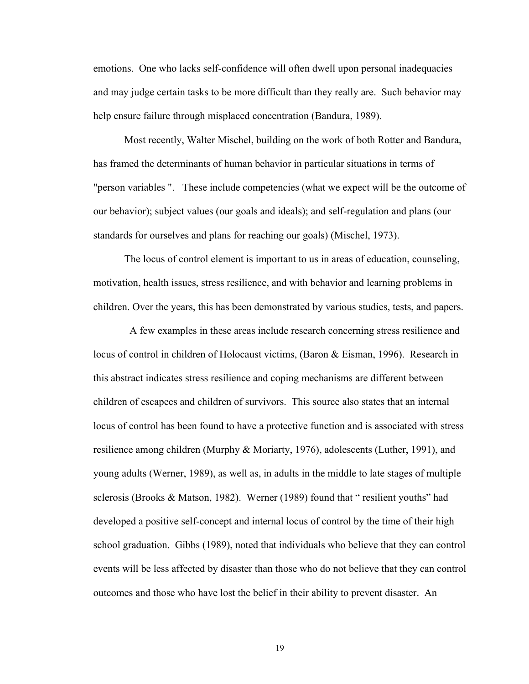emotions. One who lacks self-confidence will often dwell upon personal inadequacies and may judge certain tasks to be more difficult than they really are. Such behavior may help ensure failure through misplaced concentration (Bandura, 1989).

 Most recently, Walter Mischel, building on the work of both Rotter and Bandura, has framed the determinants of human behavior in particular situations in terms of "person variables ". These include competencies (what we expect will be the outcome of our behavior); subject values (our goals and ideals); and self-regulation and plans (our standards for ourselves and plans for reaching our goals) (Mischel, 1973).

The locus of control element is important to us in areas of education, counseling, motivation, health issues, stress resilience, and with behavior and learning problems in children. Over the years, this has been demonstrated by various studies, tests, and papers.

 A few examples in these areas include research concerning stress resilience and locus of control in children of Holocaust victims, (Baron & Eisman, 1996). Research in this abstract indicates stress resilience and coping mechanisms are different between children of escapees and children of survivors. This source also states that an internal locus of control has been found to have a protective function and is associated with stress resilience among children (Murphy & Moriarty, 1976), adolescents (Luther, 1991), and young adults (Werner, 1989), as well as, in adults in the middle to late stages of multiple sclerosis (Brooks & Matson, 1982). Werner (1989) found that " resilient youths" had developed a positive self-concept and internal locus of control by the time of their high school graduation. Gibbs (1989), noted that individuals who believe that they can control events will be less affected by disaster than those who do not believe that they can control outcomes and those who have lost the belief in their ability to prevent disaster. An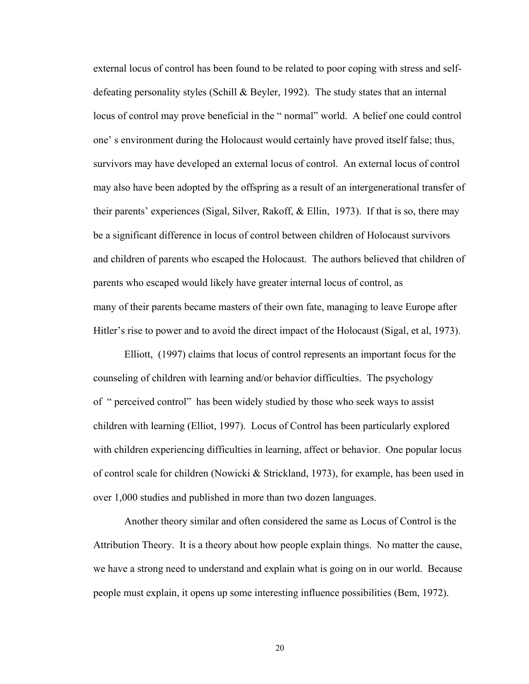external locus of control has been found to be related to poor coping with stress and selfdefeating personality styles (Schill & Beyler, 1992). The study states that an internal locus of control may prove beneficial in the " normal" world. A belief one could control one' s environment during the Holocaust would certainly have proved itself false; thus, survivors may have developed an external locus of control. An external locus of control may also have been adopted by the offspring as a result of an intergenerational transfer of their parents' experiences (Sigal, Silver, Rakoff, & Ellin, 1973). If that is so, there may be a significant difference in locus of control between children of Holocaust survivors and children of parents who escaped the Holocaust. The authors believed that children of parents who escaped would likely have greater internal locus of control, as many of their parents became masters of their own fate, managing to leave Europe after Hitler's rise to power and to avoid the direct impact of the Holocaust (Sigal, et al, 1973).

Elliott, (1997) claims that locus of control represents an important focus for the counseling of children with learning and/or behavior difficulties. The psychology of " perceived control" has been widely studied by those who seek ways to assist children with learning (Elliot, 1997). Locus of Control has been particularly explored with children experiencing difficulties in learning, affect or behavior. One popular locus of control scale for children (Nowicki & Strickland, 1973), for example, has been used in over 1,000 studies and published in more than two dozen languages.

Another theory similar and often considered the same as Locus of Control is the Attribution Theory. It is a theory about how people explain things. No matter the cause, we have a strong need to understand and explain what is going on in our world. Because people must explain, it opens up some interesting influence possibilities (Bem, 1972).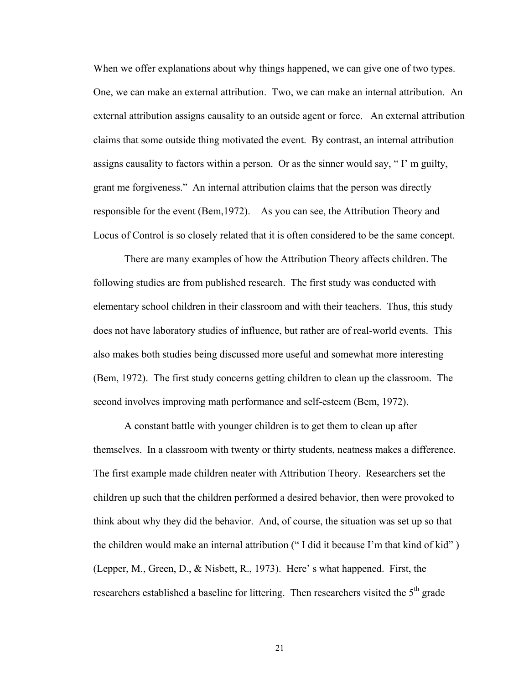When we offer explanations about why things happened, we can give one of two types. One, we can make an external attribution. Two, we can make an internal attribution. An external attribution assigns causality to an outside agent or force. An external attribution claims that some outside thing motivated the event. By contrast, an internal attribution assigns causality to factors within a person. Or as the sinner would say, " I' m guilty, grant me forgiveness." An internal attribution claims that the person was directly responsible for the event (Bem,1972). As you can see, the Attribution Theory and Locus of Control is so closely related that it is often considered to be the same concept.

There are many examples of how the Attribution Theory affects children. The following studies are from published research. The first study was conducted with elementary school children in their classroom and with their teachers. Thus, this study does not have laboratory studies of influence, but rather are of real-world events. This also makes both studies being discussed more useful and somewhat more interesting (Bem, 1972). The first study concerns getting children to clean up the classroom. The second involves improving math performance and self-esteem (Bem, 1972).

 A constant battle with younger children is to get them to clean up after themselves. In a classroom with twenty or thirty students, neatness makes a difference. The first example made children neater with Attribution Theory. Researchers set the children up such that the children performed a desired behavior, then were provoked to think about why they did the behavior. And, of course, the situation was set up so that the children would make an internal attribution (" I did it because I'm that kind of kid" ) (Lepper, M., Green, D., & Nisbett, R., 1973). Here' s what happened. First, the researchers established a baseline for littering. Then researchers visited the 5<sup>th</sup> grade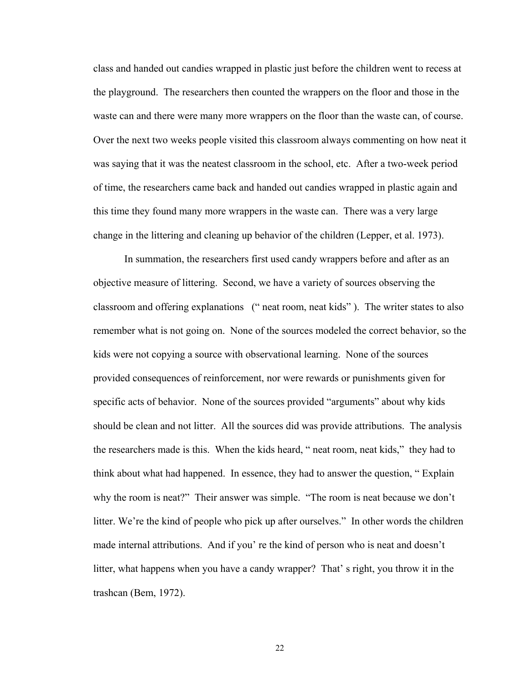class and handed out candies wrapped in plastic just before the children went to recess at the playground. The researchers then counted the wrappers on the floor and those in the waste can and there were many more wrappers on the floor than the waste can, of course. Over the next two weeks people visited this classroom always commenting on how neat it was saying that it was the neatest classroom in the school, etc. After a two-week period of time, the researchers came back and handed out candies wrapped in plastic again and this time they found many more wrappers in the waste can. There was a very large change in the littering and cleaning up behavior of the children (Lepper, et al. 1973).

 In summation, the researchers first used candy wrappers before and after as an objective measure of littering. Second, we have a variety of sources observing the classroom and offering explanations (" neat room, neat kids" ). The writer states to also remember what is not going on. None of the sources modeled the correct behavior, so the kids were not copying a source with observational learning. None of the sources provided consequences of reinforcement, nor were rewards or punishments given for specific acts of behavior. None of the sources provided "arguments" about why kids should be clean and not litter. All the sources did was provide attributions. The analysis the researchers made is this. When the kids heard, " neat room, neat kids," they had to think about what had happened. In essence, they had to answer the question, " Explain why the room is neat?" Their answer was simple. "The room is neat because we don't litter. We're the kind of people who pick up after ourselves." In other words the children made internal attributions. And if you' re the kind of person who is neat and doesn't litter, what happens when you have a candy wrapper? That' s right, you throw it in the trashcan (Bem, 1972).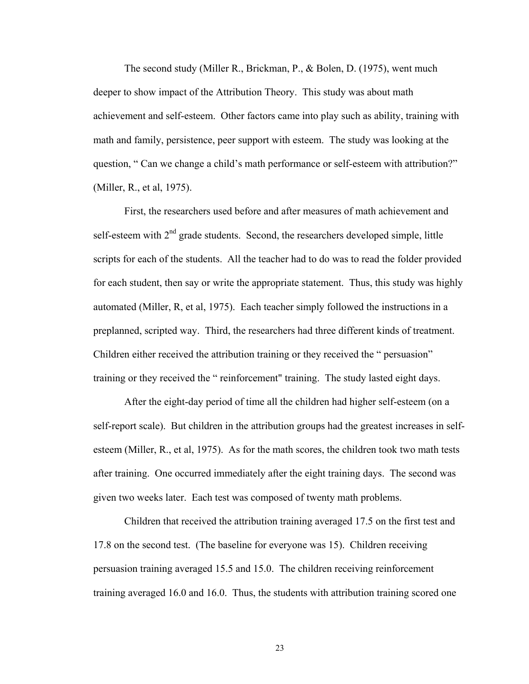The second study (Miller R., Brickman, P., & Bolen, D. (1975), went much deeper to show impact of the Attribution Theory. This study was about math achievement and self-esteem. Other factors came into play such as ability, training with math and family, persistence, peer support with esteem. The study was looking at the question, " Can we change a child's math performance or self-esteem with attribution?" (Miller, R., et al, 1975).

First, the researchers used before and after measures of math achievement and self-esteem with  $2<sup>nd</sup>$  grade students. Second, the researchers developed simple, little scripts for each of the students. All the teacher had to do was to read the folder provided for each student, then say or write the appropriate statement. Thus, this study was highly automated (Miller, R, et al, 1975). Each teacher simply followed the instructions in a preplanned, scripted way. Third, the researchers had three different kinds of treatment. Children either received the attribution training or they received the " persuasion" training or they received the " reinforcement" training. The study lasted eight days.

After the eight-day period of time all the children had higher self-esteem (on a self-report scale). But children in the attribution groups had the greatest increases in selfesteem (Miller, R., et al, 1975). As for the math scores, the children took two math tests after training. One occurred immediately after the eight training days. The second was given two weeks later. Each test was composed of twenty math problems.

Children that received the attribution training averaged 17.5 on the first test and 17.8 on the second test. (The baseline for everyone was 15). Children receiving persuasion training averaged 15.5 and 15.0. The children receiving reinforcement training averaged 16.0 and 16.0. Thus, the students with attribution training scored one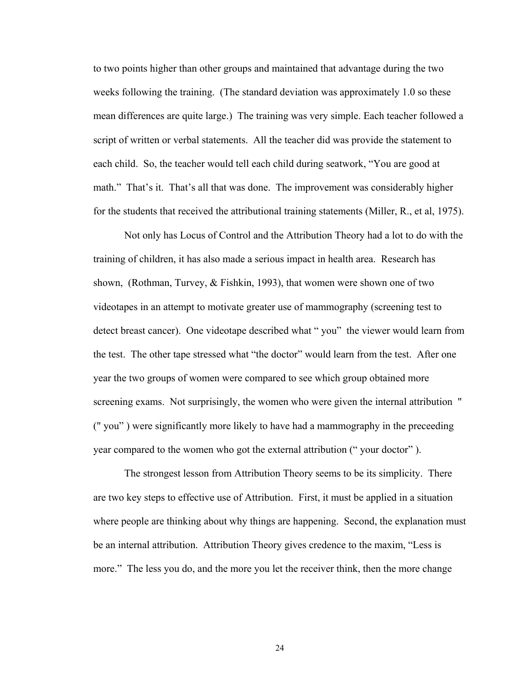to two points higher than other groups and maintained that advantage during the two weeks following the training. (The standard deviation was approximately 1.0 so these mean differences are quite large.) The training was very simple. Each teacher followed a script of written or verbal statements. All the teacher did was provide the statement to each child. So, the teacher would tell each child during seatwork, "You are good at math." That's it. That's all that was done. The improvement was considerably higher for the students that received the attributional training statements (Miller, R., et al, 1975).

Not only has Locus of Control and the Attribution Theory had a lot to do with the training of children, it has also made a serious impact in health area. Research has shown, (Rothman, Turvey, & Fishkin, 1993), that women were shown one of two videotapes in an attempt to motivate greater use of mammography (screening test to detect breast cancer). One videotape described what " you" the viewer would learn from the test. The other tape stressed what "the doctor" would learn from the test. After one year the two groups of women were compared to see which group obtained more screening exams. Not surprisingly, the women who were given the internal attribution " (" you" ) were significantly more likely to have had a mammography in the preceeding year compared to the women who got the external attribution (" your doctor" ).

The strongest lesson from Attribution Theory seems to be its simplicity. There are two key steps to effective use of Attribution. First, it must be applied in a situation where people are thinking about why things are happening. Second, the explanation must be an internal attribution. Attribution Theory gives credence to the maxim, "Less is more." The less you do, and the more you let the receiver think, then the more change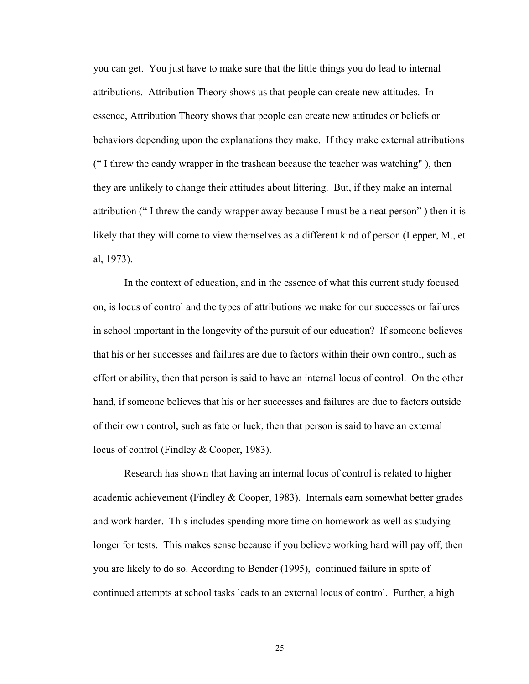you can get. You just have to make sure that the little things you do lead to internal attributions. Attribution Theory shows us that people can create new attitudes. In essence, Attribution Theory shows that people can create new attitudes or beliefs or behaviors depending upon the explanations they make. If they make external attributions (" I threw the candy wrapper in the trashcan because the teacher was watching" ), then they are unlikely to change their attitudes about littering. But, if they make an internal attribution (" I threw the candy wrapper away because I must be a neat person" ) then it is likely that they will come to view themselves as a different kind of person (Lepper, M., et al, 1973).

In the context of education, and in the essence of what this current study focused on, is locus of control and the types of attributions we make for our successes or failures in school important in the longevity of the pursuit of our education? If someone believes that his or her successes and failures are due to factors within their own control, such as effort or ability, then that person is said to have an internal locus of control. On the other hand, if someone believes that his or her successes and failures are due to factors outside of their own control, such as fate or luck, then that person is said to have an external locus of control (Findley & Cooper, 1983).

Research has shown that having an internal locus of control is related to higher academic achievement (Findley & Cooper, 1983). Internals earn somewhat better grades and work harder. This includes spending more time on homework as well as studying longer for tests. This makes sense because if you believe working hard will pay off, then you are likely to do so. According to Bender (1995), continued failure in spite of continued attempts at school tasks leads to an external locus of control. Further, a high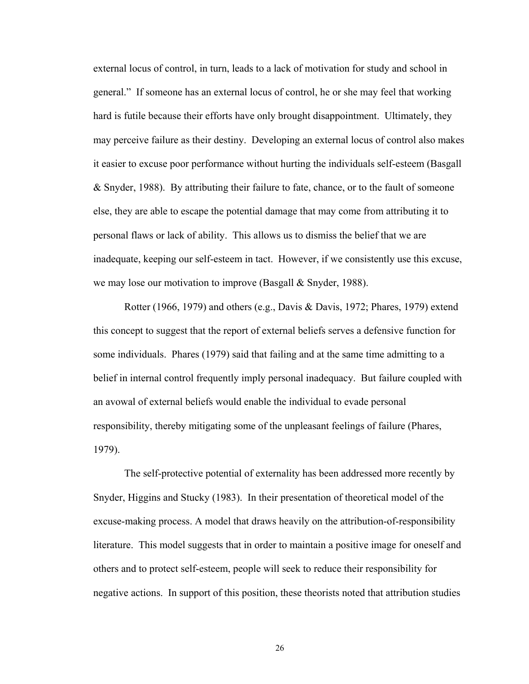external locus of control, in turn, leads to a lack of motivation for study and school in general." If someone has an external locus of control, he or she may feel that working hard is futile because their efforts have only brought disappointment. Ultimately, they may perceive failure as their destiny. Developing an external locus of control also makes it easier to excuse poor performance without hurting the individuals self-esteem (Basgall & Snyder, 1988). By attributing their failure to fate, chance, or to the fault of someone else, they are able to escape the potential damage that may come from attributing it to personal flaws or lack of ability. This allows us to dismiss the belief that we are inadequate, keeping our self-esteem in tact. However, if we consistently use this excuse, we may lose our motivation to improve (Basgall & Snyder, 1988).

Rotter (1966, 1979) and others (e.g., Davis & Davis, 1972; Phares, 1979) extend this concept to suggest that the report of external beliefs serves a defensive function for some individuals. Phares (1979) said that failing and at the same time admitting to a belief in internal control frequently imply personal inadequacy. But failure coupled with an avowal of external beliefs would enable the individual to evade personal responsibility, thereby mitigating some of the unpleasant feelings of failure (Phares, 1979).

The self-protective potential of externality has been addressed more recently by Snyder, Higgins and Stucky (1983). In their presentation of theoretical model of the excuse-making process. A model that draws heavily on the attribution-of-responsibility literature. This model suggests that in order to maintain a positive image for oneself and others and to protect self-esteem, people will seek to reduce their responsibility for negative actions. In support of this position, these theorists noted that attribution studies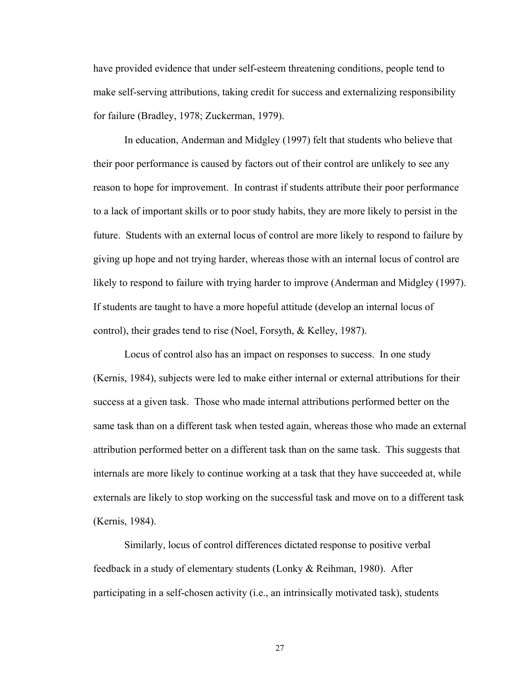have provided evidence that under self-esteem threatening conditions, people tend to make self-serving attributions, taking credit for success and externalizing responsibility for failure (Bradley, 1978; Zuckerman, 1979).

In education, Anderman and Midgley (1997) felt that students who believe that their poor performance is caused by factors out of their control are unlikely to see any reason to hope for improvement. In contrast if students attribute their poor performance to a lack of important skills or to poor study habits, they are more likely to persist in the future. Students with an external locus of control are more likely to respond to failure by giving up hope and not trying harder, whereas those with an internal locus of control are likely to respond to failure with trying harder to improve (Anderman and Midgley (1997). If students are taught to have a more hopeful attitude (develop an internal locus of control), their grades tend to rise (Noel, Forsyth, & Kelley, 1987).

Locus of control also has an impact on responses to success. In one study (Kernis, 1984), subjects were led to make either internal or external attributions for their success at a given task. Those who made internal attributions performed better on the same task than on a different task when tested again, whereas those who made an external attribution performed better on a different task than on the same task. This suggests that internals are more likely to continue working at a task that they have succeeded at, while externals are likely to stop working on the successful task and move on to a different task (Kernis, 1984).

Similarly, locus of control differences dictated response to positive verbal feedback in a study of elementary students (Lonky & Reihman, 1980). After participating in a self-chosen activity (i.e., an intrinsically motivated task), students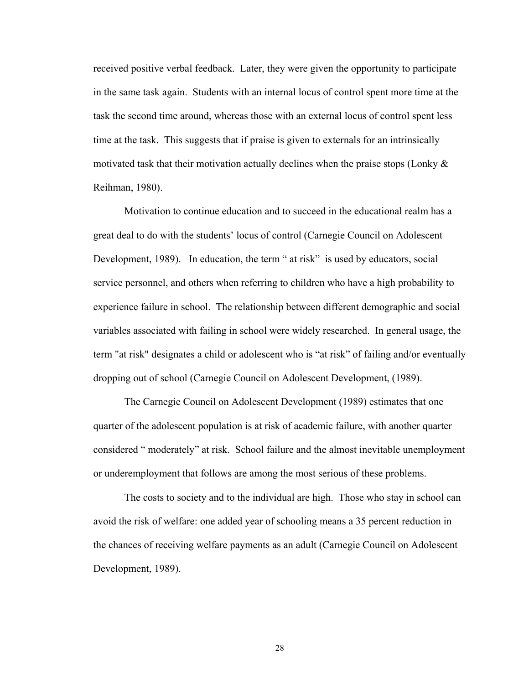received positive verbal feedback. Later, they were given the opportunity to participate in the same task again. Students with an internal locus of control spent more time at the task the second time around, whereas those with an external locus of control spent less time at the task. This suggests that if praise is given to externals for an intrinsically motivated task that their motivation actually declines when the praise stops (Lonky  $\&$ Reihman, 1980).

Motivation to continue education and to succeed in the educational realm has a great deal to do with the students' locus of control (Carnegie Council on Adolescent Development, 1989). In education, the term " at risk" is used by educators, social service personnel, and others when referring to children who have a high probability to experience failure in school. The relationship between different demographic and social variables associated with failing in school were widely researched. In general usage, the term "at risk" designates a child or adolescent who is "at risk" of failing and/or eventually dropping out of school (Carnegie Council on Adolescent Development, (1989).

The Carnegie Council on Adolescent Development (1989) estimates that one quarter of the adolescent population is at risk of academic failure, with another quarter considered " moderately" at risk. School failure and the almost inevitable unemployment or underemployment that follows are among the most serious of these problems.

The costs to society and to the individual are high. Those who stay in school can avoid the risk of welfare: one added year of schooling means a 35 percent reduction in the chances of receiving welfare payments as an adult (Carnegie Council on Adolescent Development, 1989).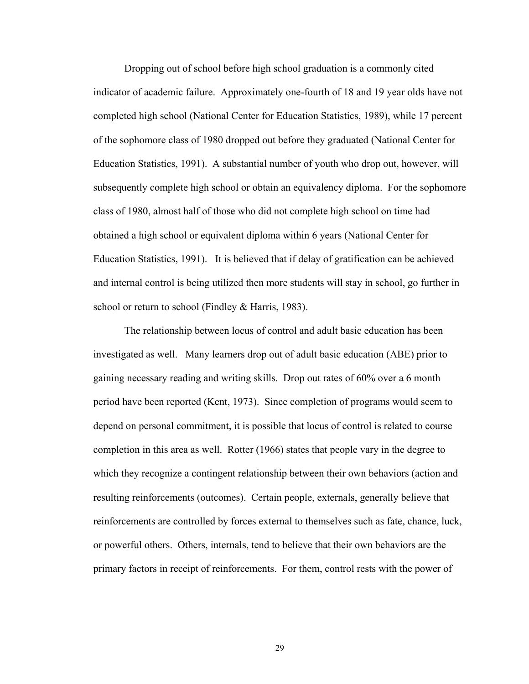Dropping out of school before high school graduation is a commonly cited indicator of academic failure. Approximately one-fourth of 18 and 19 year olds have not completed high school (National Center for Education Statistics, 1989), while 17 percent of the sophomore class of 1980 dropped out before they graduated (National Center for Education Statistics, 1991). A substantial number of youth who drop out, however, will subsequently complete high school or obtain an equivalency diploma. For the sophomore class of 1980, almost half of those who did not complete high school on time had obtained a high school or equivalent diploma within 6 years (National Center for Education Statistics, 1991). It is believed that if delay of gratification can be achieved and internal control is being utilized then more students will stay in school, go further in school or return to school (Findley & Harris, 1983).

The relationship between locus of control and adult basic education has been investigated as well. Many learners drop out of adult basic education (ABE) prior to gaining necessary reading and writing skills. Drop out rates of 60% over a 6 month period have been reported (Kent, 1973). Since completion of programs would seem to depend on personal commitment, it is possible that locus of control is related to course completion in this area as well. Rotter (1966) states that people vary in the degree to which they recognize a contingent relationship between their own behaviors (action and resulting reinforcements (outcomes). Certain people, externals, generally believe that reinforcements are controlled by forces external to themselves such as fate, chance, luck, or powerful others. Others, internals, tend to believe that their own behaviors are the primary factors in receipt of reinforcements. For them, control rests with the power of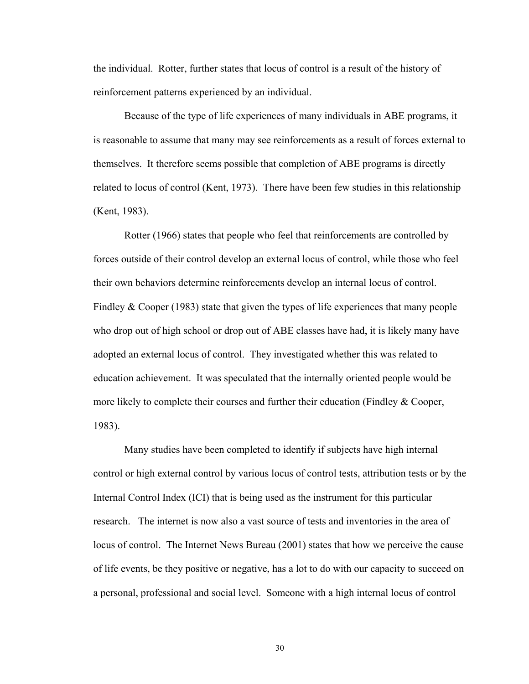the individual. Rotter, further states that locus of control is a result of the history of reinforcement patterns experienced by an individual.

 Because of the type of life experiences of many individuals in ABE programs, it is reasonable to assume that many may see reinforcements as a result of forces external to themselves. It therefore seems possible that completion of ABE programs is directly related to locus of control (Kent, 1973). There have been few studies in this relationship (Kent, 1983).

 Rotter (1966) states that people who feel that reinforcements are controlled by forces outside of their control develop an external locus of control, while those who feel their own behaviors determine reinforcements develop an internal locus of control. Findley & Cooper (1983) state that given the types of life experiences that many people who drop out of high school or drop out of ABE classes have had, it is likely many have adopted an external locus of control. They investigated whether this was related to education achievement. It was speculated that the internally oriented people would be more likely to complete their courses and further their education (Findley & Cooper, 1983).

Many studies have been completed to identify if subjects have high internal control or high external control by various locus of control tests, attribution tests or by the Internal Control Index (ICI) that is being used as the instrument for this particular research. The internet is now also a vast source of tests and inventories in the area of locus of control. The Internet News Bureau (2001) states that how we perceive the cause of life events, be they positive or negative, has a lot to do with our capacity to succeed on a personal, professional and social level. Someone with a high internal locus of control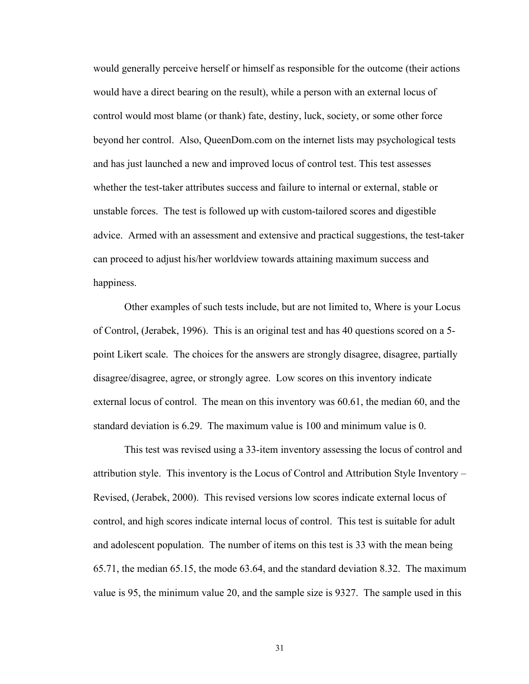would generally perceive herself or himself as responsible for the outcome (their actions would have a direct bearing on the result), while a person with an external locus of control would most blame (or thank) fate, destiny, luck, society, or some other force beyond her control. Also, QueenDom.com on the internet lists may psychological tests and has just launched a new and improved locus of control test. This test assesses whether the test-taker attributes success and failure to internal or external, stable or unstable forces. The test is followed up with custom-tailored scores and digestible advice. Armed with an assessment and extensive and practical suggestions, the test-taker can proceed to adjust his/her worldview towards attaining maximum success and happiness.

Other examples of such tests include, but are not limited to, Where is your Locus of Control, (Jerabek, 1996). This is an original test and has 40 questions scored on a 5 point Likert scale. The choices for the answers are strongly disagree, disagree, partially disagree/disagree, agree, or strongly agree. Low scores on this inventory indicate external locus of control. The mean on this inventory was 60.61, the median 60, and the standard deviation is 6.29. The maximum value is 100 and minimum value is 0.

This test was revised using a 33-item inventory assessing the locus of control and attribution style. This inventory is the Locus of Control and Attribution Style Inventory – Revised, (Jerabek, 2000). This revised versions low scores indicate external locus of control, and high scores indicate internal locus of control. This test is suitable for adult and adolescent population. The number of items on this test is 33 with the mean being 65.71, the median 65.15, the mode 63.64, and the standard deviation 8.32. The maximum value is 95, the minimum value 20, and the sample size is 9327. The sample used in this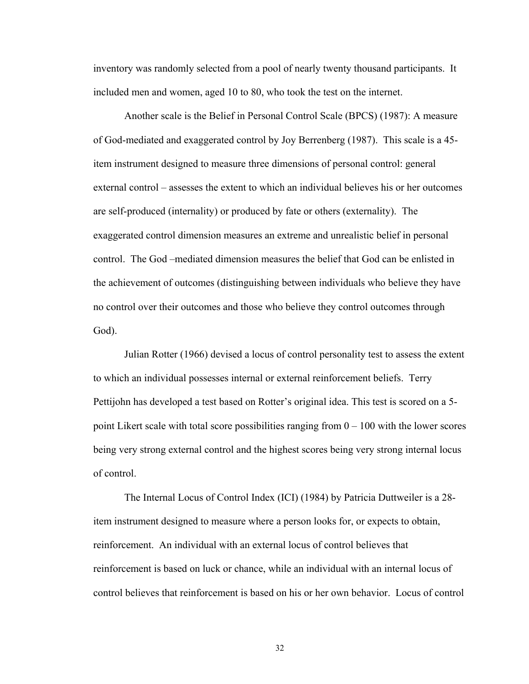inventory was randomly selected from a pool of nearly twenty thousand participants. It included men and women, aged 10 to 80, who took the test on the internet.

 Another scale is the Belief in Personal Control Scale (BPCS) (1987): A measure of God-mediated and exaggerated control by Joy Berrenberg (1987). This scale is a 45 item instrument designed to measure three dimensions of personal control: general external control – assesses the extent to which an individual believes his or her outcomes are self-produced (internality) or produced by fate or others (externality). The exaggerated control dimension measures an extreme and unrealistic belief in personal control. The God –mediated dimension measures the belief that God can be enlisted in the achievement of outcomes (distinguishing between individuals who believe they have no control over their outcomes and those who believe they control outcomes through God).

 Julian Rotter (1966) devised a locus of control personality test to assess the extent to which an individual possesses internal or external reinforcement beliefs. Terry Pettijohn has developed a test based on Rotter's original idea. This test is scored on a 5 point Likert scale with total score possibilities ranging from  $0 - 100$  with the lower scores being very strong external control and the highest scores being very strong internal locus of control.

 The Internal Locus of Control Index (ICI) (1984) by Patricia Duttweiler is a 28 item instrument designed to measure where a person looks for, or expects to obtain, reinforcement. An individual with an external locus of control believes that reinforcement is based on luck or chance, while an individual with an internal locus of control believes that reinforcement is based on his or her own behavior. Locus of control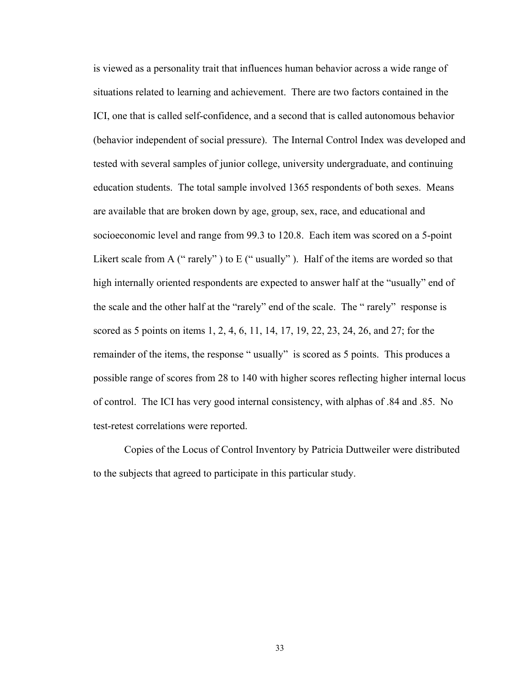is viewed as a personality trait that influences human behavior across a wide range of situations related to learning and achievement. There are two factors contained in the ICI, one that is called self-confidence, and a second that is called autonomous behavior (behavior independent of social pressure). The Internal Control Index was developed and tested with several samples of junior college, university undergraduate, and continuing education students. The total sample involved 1365 respondents of both sexes. Means are available that are broken down by age, group, sex, race, and educational and socioeconomic level and range from 99.3 to 120.8. Each item was scored on a 5-point Likert scale from A (" rarely") to E (" usually"). Half of the items are worded so that high internally oriented respondents are expected to answer half at the "usually" end of the scale and the other half at the "rarely" end of the scale. The " rarely" response is scored as 5 points on items 1, 2, 4, 6, 11, 14, 17, 19, 22, 23, 24, 26, and 27; for the remainder of the items, the response " usually" is scored as 5 points. This produces a possible range of scores from 28 to 140 with higher scores reflecting higher internal locus of control. The ICI has very good internal consistency, with alphas of .84 and .85. No test-retest correlations were reported.

 Copies of the Locus of Control Inventory by Patricia Duttweiler were distributed to the subjects that agreed to participate in this particular study.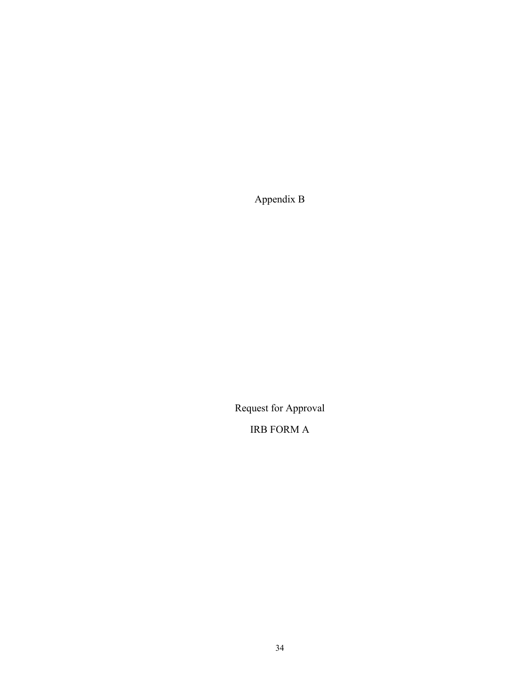Appendix B

Request for Approval

IRB FORM A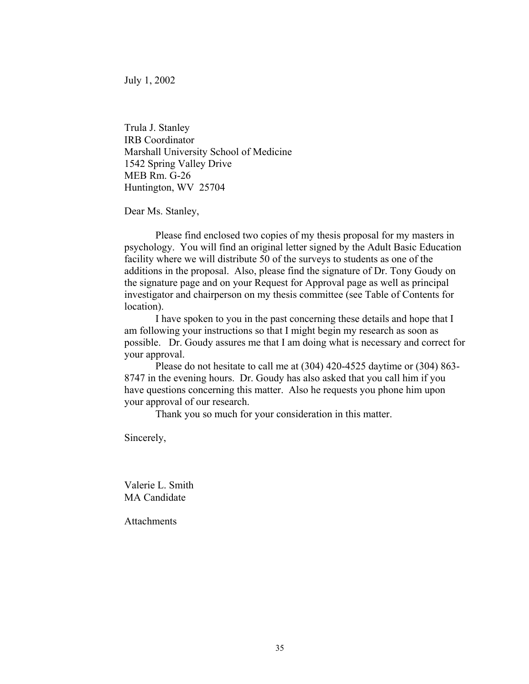July 1, 2002

Trula J. Stanley IRB Coordinator Marshall University School of Medicine 1542 Spring Valley Drive MEB Rm. G-26 Huntington, WV 25704

Dear Ms. Stanley,

Please find enclosed two copies of my thesis proposal for my masters in psychology. You will find an original letter signed by the Adult Basic Education facility where we will distribute 50 of the surveys to students as one of the additions in the proposal. Also, please find the signature of Dr. Tony Goudy on the signature page and on your Request for Approval page as well as principal investigator and chairperson on my thesis committee (see Table of Contents for location).

 I have spoken to you in the past concerning these details and hope that I am following your instructions so that I might begin my research as soon as possible. Dr. Goudy assures me that I am doing what is necessary and correct for your approval.

 Please do not hesitate to call me at (304) 420-4525 daytime or (304) 863- 8747 in the evening hours. Dr. Goudy has also asked that you call him if you have questions concerning this matter. Also he requests you phone him upon your approval of our research.

Thank you so much for your consideration in this matter.

Sincerely,

Valerie L. Smith MA Candidate

**Attachments**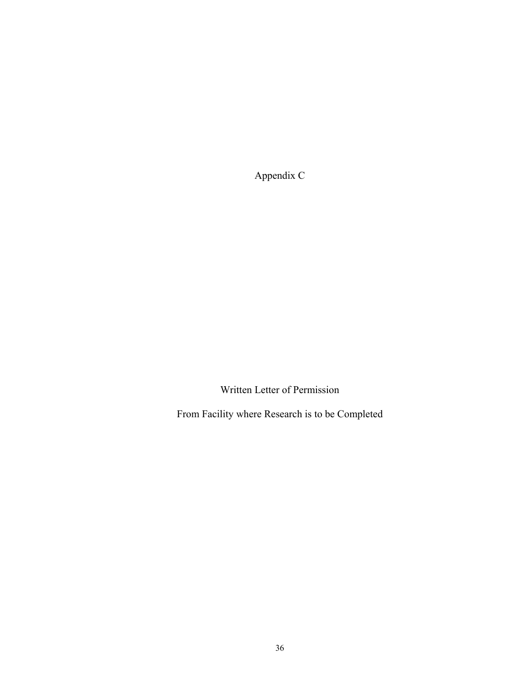Appendix C

Written Letter of Permission

From Facility where Research is to be Completed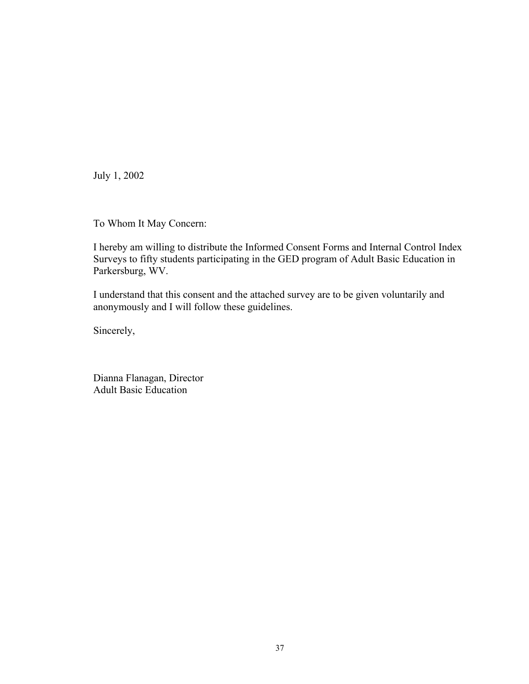July 1, 2002

To Whom It May Concern:

I hereby am willing to distribute the Informed Consent Forms and Internal Control Index Surveys to fifty students participating in the GED program of Adult Basic Education in Parkersburg, WV.

I understand that this consent and the attached survey are to be given voluntarily and anonymously and I will follow these guidelines.

Sincerely,

Dianna Flanagan, Director Adult Basic Education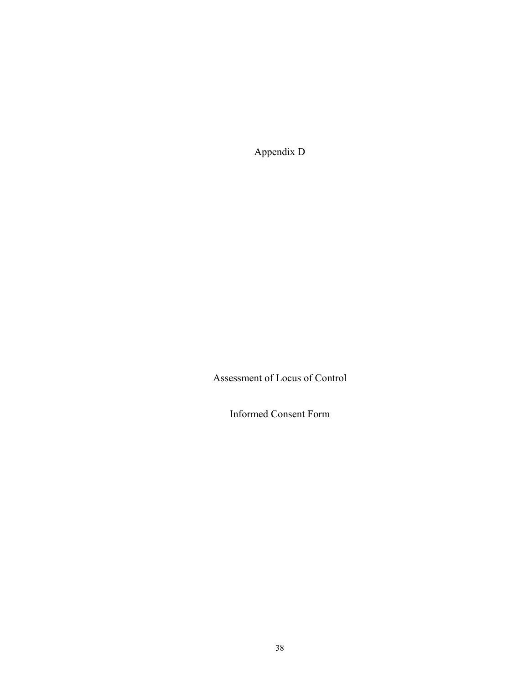Appendix D

Assessment of Locus of Control

Informed Consent Form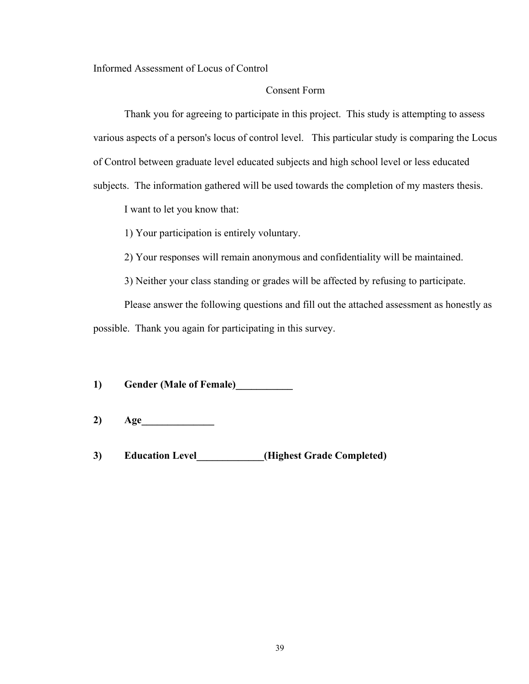#### Informed Assessment of Locus of Control

#### Consent Form

Thank you for agreeing to participate in this project. This study is attempting to assess various aspects of a person's locus of control level. This particular study is comparing the Locus of Control between graduate level educated subjects and high school level or less educated subjects. The information gathered will be used towards the completion of my masters thesis.

I want to let you know that:

1) Your participation is entirely voluntary.

2) Your responses will remain anonymous and confidentiality will be maintained.

3) Neither your class standing or grades will be affected by refusing to participate.

 Please answer the following questions and fill out the attached assessment as honestly as possible. Thank you again for participating in this survey.

**1) Gender (Male of Female)\_\_\_\_\_\_\_\_\_\_\_** 

- **2) Age\_\_\_\_\_\_\_\_\_\_\_\_\_\_**
- **3) Education Level\_\_\_\_\_\_\_\_\_\_\_\_\_(Highest Grade Completed)**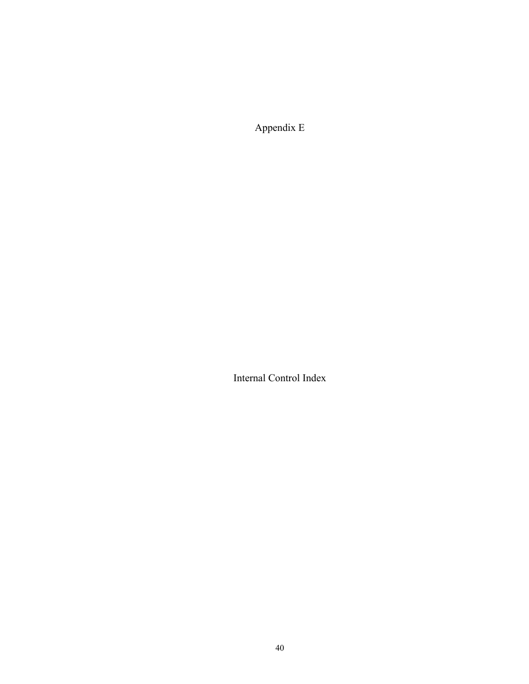Appendix E

Internal Control Index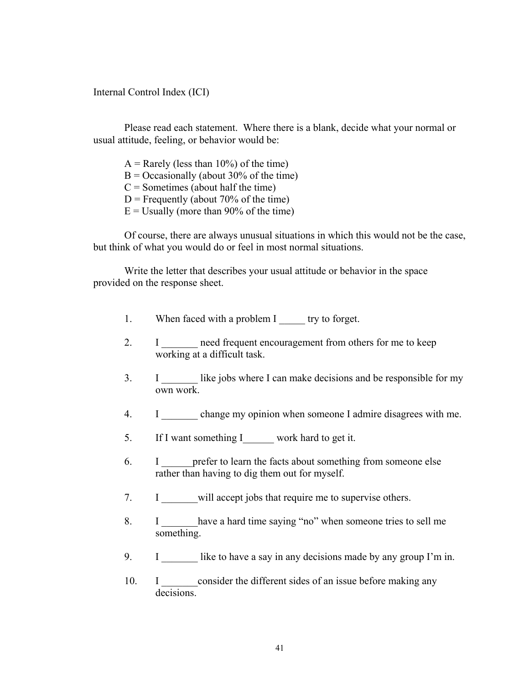Internal Control Index (ICI)

 Please read each statement. Where there is a blank, decide what your normal or usual attitude, feeling, or behavior would be:

 $A =$ Rarely (less than 10%) of the time)

 $B = Occasionally$  (about 30% of the time)

 $C =$  Sometimes (about half the time)

 $D$  = Frequently (about 70% of the time)

 $E =$  Usually (more than 90% of the time)

Of course, there are always unusual situations in which this would not be the case, but think of what you would do or feel in most normal situations.

Write the letter that describes your usual attitude or behavior in the space provided on the response sheet.

- 1. When faced with a problem I try to forget.
- 2. I meed frequent encouragement from others for me to keep working at a difficult task.
- 3. I \_\_\_\_\_\_\_ like jobs where I can make decisions and be responsible for my own work.
- 4. I change my opinion when someone I admire disagrees with me.
- 5. If I want something I work hard to get it.
- 6. I meter to learn the facts about something from someone else rather than having to dig them out for myself.
- 7. I will accept jobs that require me to supervise others.
- 8. I have a hard time saying "no" when someone tries to sell me something.
- 9. I like to have a say in any decisions made by any group I'm in.
- 10. I consider the different sides of an issue before making any decisions.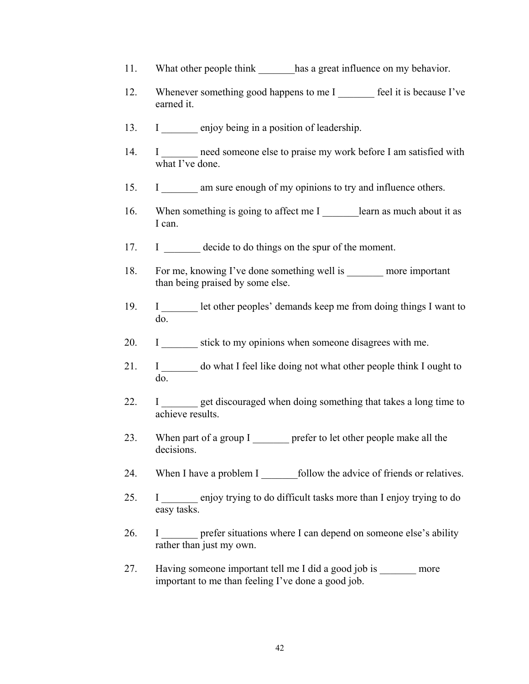- 11. What other people think has a great influence on my behavior.
- 12. Whenever something good happens to me I \_\_\_\_\_\_\_ feel it is because I've earned it.
- 13. I enjoy being in a position of leadership.
- 14. I \_\_\_\_\_\_\_ need someone else to praise my work before I am satisfied with what I've done.
- 15. I am sure enough of my opinions to try and influence others.
- 16. When something is going to affect me I \_\_\_\_\_\_\_\_learn as much about it as I can.
- 17. I decide to do things on the spur of the moment.
- 18. For me, knowing I've done something well is more important than being praised by some else.
- 19. I Let other peoples' demands keep me from doing things I want to do.
- 20. I stick to my opinions when someone disagrees with me.
- 21. I \_\_\_\_\_\_\_ do what I feel like doing not what other people think I ought to do.
- 22. I get discouraged when doing something that takes a long time to achieve results.
- 23. When part of a group I prefer to let other people make all the decisions.
- 24. When I have a problem I follow the advice of friends or relatives.
- 25. I \_\_\_\_\_\_\_ enjoy trying to do difficult tasks more than I enjoy trying to do easy tasks.
- 26. I \_\_\_\_\_\_\_ prefer situations where I can depend on someone else's ability rather than just my own.
- 27. Having someone important tell me I did a good job is more important to me than feeling I've done a good job.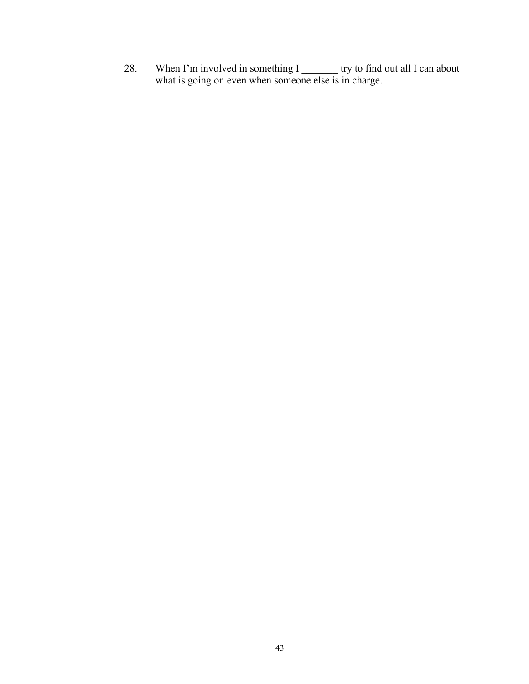28. When I'm involved in something I was try to find out all I can about what is going on even when someone else is in charge.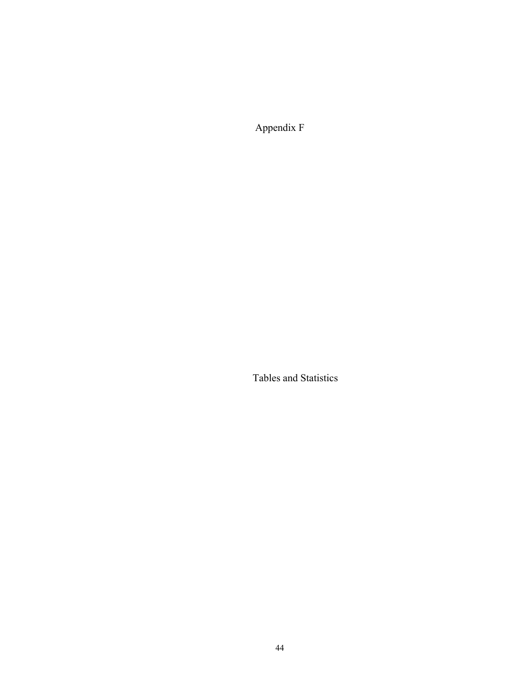Appendix F

Tables and Statistics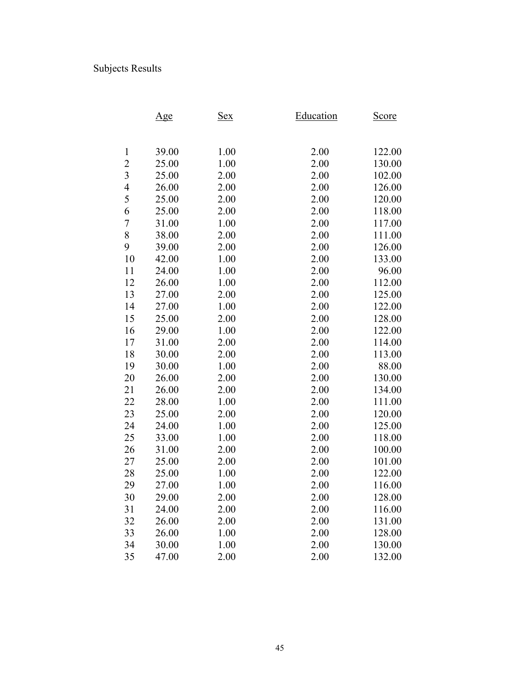# Subjects Results

|                | <u>Age</u> | <u>Sex</u> | Education | <u>Score</u> |
|----------------|------------|------------|-----------|--------------|
|                |            |            |           |              |
|                |            |            |           |              |
| $\mathbf{1}$   | 39.00      | 1.00       | 2.00      | 122.00       |
| $\overline{c}$ | 25.00      | 1.00       | 2.00      | 130.00       |
| 3              | 25.00      | 2.00       | 2.00      | 102.00       |
| $\overline{4}$ | 26.00      | 2.00       | 2.00      | 126.00       |
| 5              | 25.00      | 2.00       | 2.00      | 120.00       |
| 6              | 25.00      | 2.00       | 2.00      | 118.00       |
| $\overline{7}$ | 31.00      | 1.00       | 2.00      | 117.00       |
| 8              | 38.00      | 2.00       | 2.00      | 111.00       |
| 9              | 39.00      | 2.00       | 2.00      | 126.00       |
| 10             | 42.00      | 1.00       | 2.00      | 133.00       |
| 11             | 24.00      | 1.00       | 2.00      | 96.00        |
| 12             | 26.00      | 1.00       | 2.00      | 112.00       |
| 13             | 27.00      | 2.00       | 2.00      | 125.00       |
| 14             | 27.00      | 1.00       | 2.00      | 122.00       |
| 15             | 25.00      | 2.00       | 2.00      | 128.00       |
| 16             | 29.00      | 1.00       | 2.00      | 122.00       |
| 17             | 31.00      | 2.00       | 2.00      | 114.00       |
| 18             | 30.00      | 2.00       | 2.00      | 113.00       |
| 19             | 30.00      | 1.00       | 2.00      | 88.00        |
| 20             | 26.00      | 2.00       | 2.00      | 130.00       |
| 21             | 26.00      | 2.00       | 2.00      | 134.00       |
| 22             | 28.00      | 1.00       | 2.00      | 111.00       |
| 23             | 25.00      | 2.00       | 2.00      | 120.00       |
| 24             | 24.00      | 1.00       | 2.00      | 125.00       |
| 25             | 33.00      | 1.00       | 2.00      | 118.00       |
| 26             | 31.00      | 2.00       | 2.00      | 100.00       |
| 27             | 25.00      | 2.00       | 2.00      | 101.00       |
| 28             | 25.00      | 1.00       | 2.00      | 122.00       |
| 29             | 27.00      | 1.00       | 2.00      | 116.00       |
| 30             | 29.00      | 2.00       | 2.00      | 128.00       |
| 31             | 24.00      | 2.00       | 2.00      | 116.00       |
| 32             | 26.00      | 2.00       | 2.00      | 131.00       |
| 33             | 26.00      | 1.00       | 2.00      | 128.00       |
| 34             | 30.00      | 1.00       | 2.00      | 130.00       |
| 35             | 47.00      | 2.00       | 2.00      | 132.00       |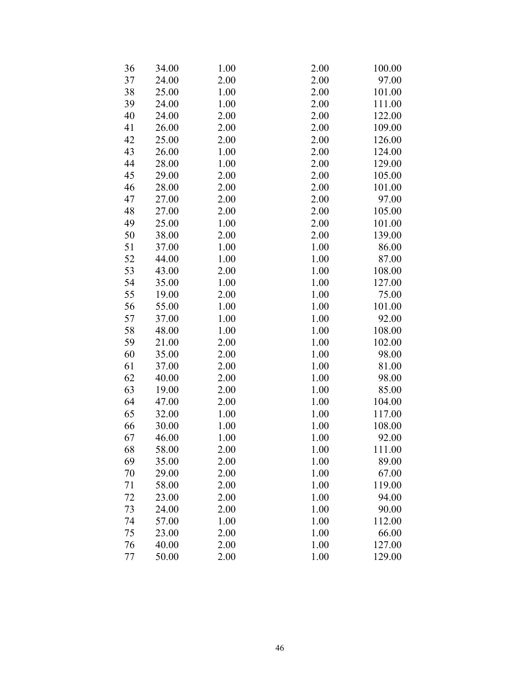| 36 | 34.00 | 1.00 | 2.00 | 100.00 |
|----|-------|------|------|--------|
| 37 | 24.00 | 2.00 | 2.00 | 97.00  |
| 38 | 25.00 | 1.00 | 2.00 | 101.00 |
| 39 | 24.00 | 1.00 | 2.00 | 111.00 |
| 40 | 24.00 | 2.00 | 2.00 | 122.00 |
| 41 | 26.00 | 2.00 | 2.00 | 109.00 |
| 42 | 25.00 | 2.00 | 2.00 | 126.00 |
| 43 | 26.00 | 1.00 | 2.00 | 124.00 |
| 44 | 28.00 | 1.00 | 2.00 | 129.00 |
| 45 | 29.00 | 2.00 | 2.00 | 105.00 |
| 46 | 28.00 | 2.00 | 2.00 | 101.00 |
| 47 | 27.00 | 2.00 | 2.00 | 97.00  |
| 48 | 27.00 | 2.00 | 2.00 | 105.00 |
| 49 | 25.00 | 1.00 | 2.00 | 101.00 |
| 50 | 38.00 | 2.00 | 2.00 | 139.00 |
| 51 | 37.00 | 1.00 | 1.00 | 86.00  |
| 52 | 44.00 | 1.00 | 1.00 | 87.00  |
| 53 | 43.00 | 2.00 | 1.00 | 108.00 |
| 54 | 35.00 | 1.00 | 1.00 | 127.00 |
| 55 | 19.00 | 2.00 | 1.00 | 75.00  |
| 56 | 55.00 | 1.00 | 1.00 | 101.00 |
| 57 | 37.00 | 1.00 | 1.00 | 92.00  |
| 58 | 48.00 | 1.00 | 1.00 | 108.00 |
| 59 | 21.00 | 2.00 | 1.00 | 102.00 |
| 60 | 35.00 | 2.00 | 1.00 | 98.00  |
| 61 | 37.00 | 2.00 | 1.00 | 81.00  |
| 62 | 40.00 | 2.00 | 1.00 | 98.00  |
| 63 | 19.00 | 2.00 | 1.00 | 85.00  |
| 64 | 47.00 | 2.00 | 1.00 | 104.00 |
| 65 | 32.00 | 1.00 | 1.00 | 117.00 |
| 66 | 30.00 | 1.00 | 1.00 | 108.00 |
| 67 | 46.00 | 1.00 | 1.00 | 92.00  |
| 68 | 58.00 | 2.00 | 1.00 | 111.00 |
| 69 | 35.00 | 2.00 | 1.00 | 89.00  |
| 70 | 29.00 | 2.00 | 1.00 | 67.00  |
| 71 | 58.00 | 2.00 | 1.00 | 119.00 |
| 72 | 23.00 | 2.00 | 1.00 | 94.00  |
| 73 | 24.00 | 2.00 | 1.00 | 90.00  |
| 74 | 57.00 | 1.00 | 1.00 | 112.00 |
| 75 | 23.00 | 2.00 | 1.00 | 66.00  |
| 76 | 40.00 | 2.00 | 1.00 | 127.00 |
| 77 | 50.00 | 2.00 | 1.00 | 129.00 |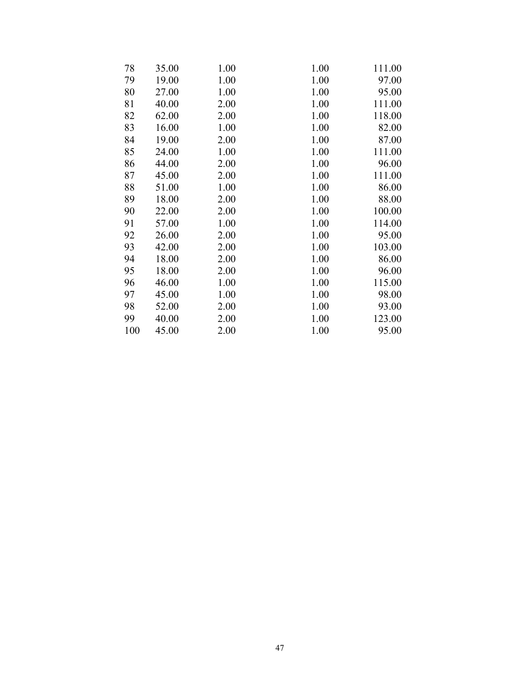| 78  | 35.00 | 1.00 | 1.00 | 111.00 |
|-----|-------|------|------|--------|
| 79  | 19.00 | 1.00 | 1.00 | 97.00  |
| 80  | 27.00 | 1.00 | 1.00 | 95.00  |
| 81  | 40.00 | 2.00 | 1.00 | 111.00 |
| 82  | 62.00 | 2.00 | 1.00 | 118.00 |
| 83  | 16.00 | 1.00 | 1.00 | 82.00  |
| 84  | 19.00 | 2.00 | 1.00 | 87.00  |
| 85  | 24.00 | 1.00 | 1.00 | 111.00 |
| 86  | 44.00 | 2.00 | 1.00 | 96.00  |
| 87  | 45.00 | 2.00 | 1.00 | 111.00 |
| 88  | 51.00 | 1.00 | 1.00 | 86.00  |
| 89  | 18.00 | 2.00 | 1.00 | 88.00  |
| 90  | 22.00 | 2.00 | 1.00 | 100.00 |
| 91  | 57.00 | 1.00 | 1.00 | 114.00 |
| 92  | 26.00 | 2.00 | 1.00 | 95.00  |
| 93  | 42.00 | 2.00 | 1.00 | 103.00 |
| 94  | 18.00 | 2.00 | 1.00 | 86.00  |
| 95  | 18.00 | 2.00 | 1.00 | 96.00  |
| 96  | 46.00 | 1.00 | 1.00 | 115.00 |
| 97  | 45.00 | 1.00 | 1.00 | 98.00  |
| 98  | 52.00 | 2.00 | 1.00 | 93.00  |
| 99  | 40.00 | 2.00 | 1.00 | 123.00 |
| 100 | 45.00 | 2.00 | 1.00 | 95.00  |
|     |       |      |      |        |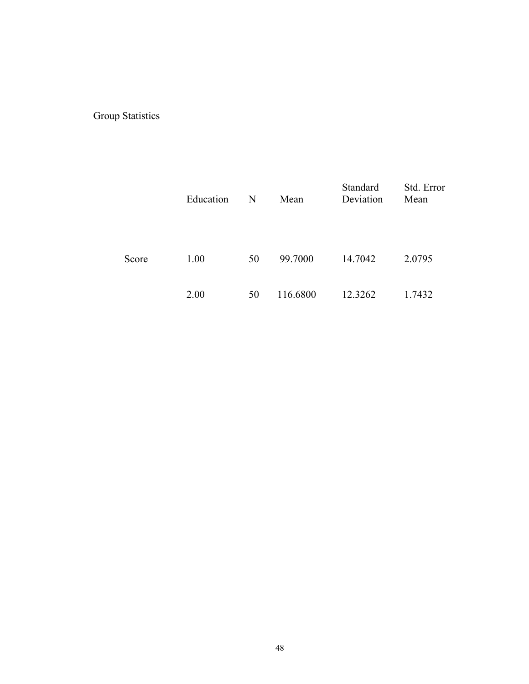## Group Statistics

|       | Education | N  | Mean     | Standard<br>Deviation | Std. Error<br>Mean |
|-------|-----------|----|----------|-----------------------|--------------------|
| Score | 1.00      | 50 | 99.7000  | 14.7042               | 2.0795             |
|       | 2.00      | 50 | 116.6800 | 12.3262               | 1.7432             |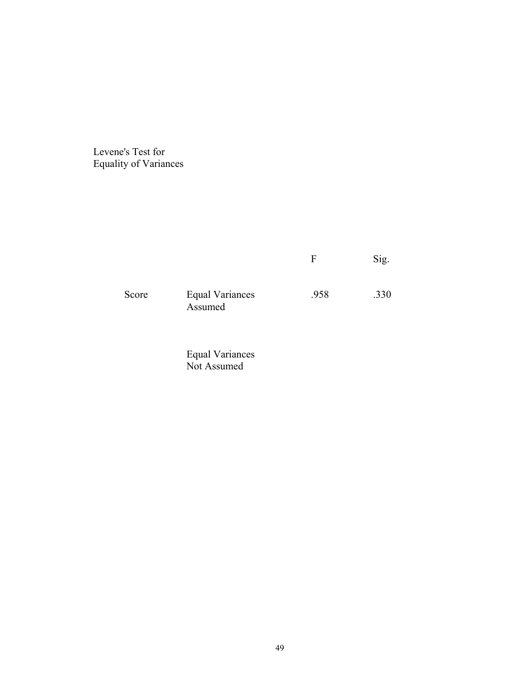Levene's Test for Equality of Variances

|       |                                   |      | Sig. |
|-------|-----------------------------------|------|------|
| Score | <b>Equal Variances</b><br>Assumed | .958 | .330 |

 Equal Variances Not Assumed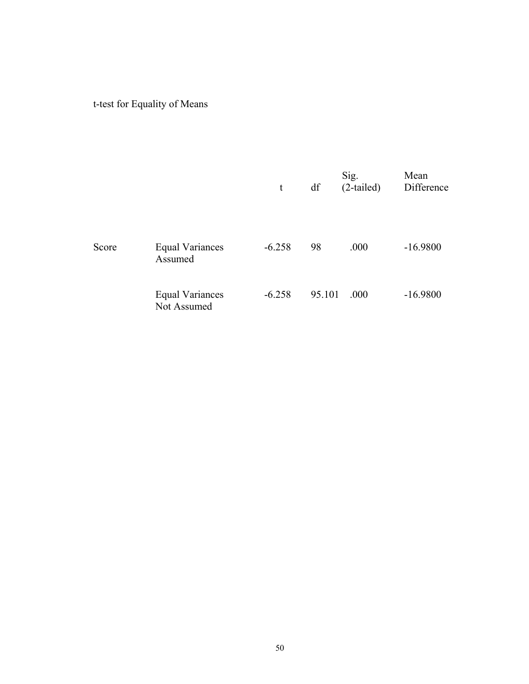# t-test for Equality of Means

|       |                                       | t        | df     | Sig.<br>$(2-tailed)$ | Mean<br>Difference |
|-------|---------------------------------------|----------|--------|----------------------|--------------------|
| Score | <b>Equal Variances</b><br>Assumed     | $-6.258$ | 98     | .000                 | $-16.9800$         |
|       | <b>Equal Variances</b><br>Not Assumed | $-6.258$ | 95.101 | .000                 | $-16.9800$         |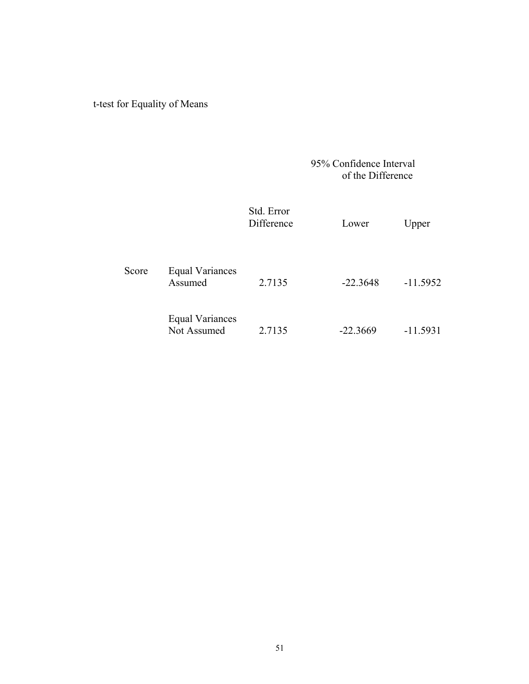## t-test for Equality of Means

### 95% Confidence Interval of the Difference

|       |                                       | Std. Error<br>Difference | Lower      | Upper      |
|-------|---------------------------------------|--------------------------|------------|------------|
| Score | <b>Equal Variances</b><br>Assumed     | 2.7135                   | $-22.3648$ | $-11.5952$ |
|       | <b>Equal Variances</b><br>Not Assumed | 2.7135                   | $-22.3669$ | $-11.5931$ |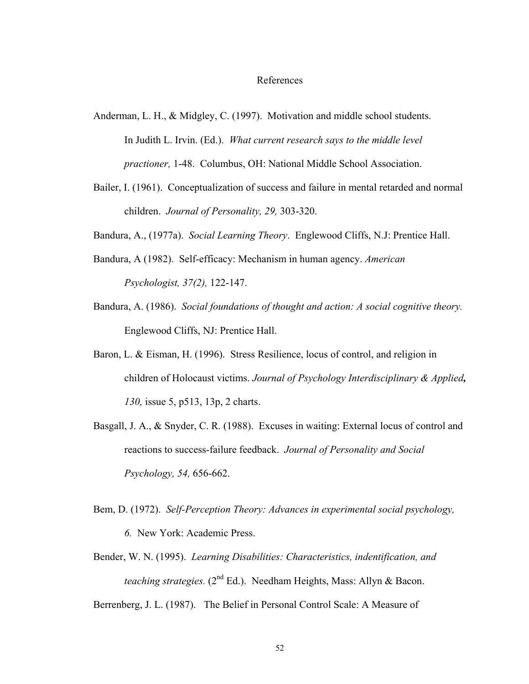#### References

- Anderman, L. H., & Midgley, C. (1997). Motivation and middle school students. In Judith L. Irvin. (Ed.). *What current research says to the middle level practioner,* 1-48. Columbus, OH: National Middle School Association.
- Bailer, I. (1961). Conceptualization of success and failure in mental retarded and normal children. *Journal of Personality, 29,* 303-320.

Bandura, A., (1977a). *Social Learning Theory*. Englewood Cliffs, N.J: Prentice Hall.

- Bandura, A (1982). Self-efficacy: Mechanism in human agency. *American Psychologist, 37(2),* 122-147.
- Bandura, A. (1986). *Social foundations of thought and action: A social cognitive theory.*  Englewood Cliffs, NJ: Prentice Hall.
- Baron, L. & Eisman, H. (1996). Stress Resilience, locus of control, and religion in children of Holocaust victims. *Journal of Psychology Interdisciplinary & Applied, 130,* issue 5, p513, 13p, 2 charts.
- Basgall, J. A., & Snyder, C. R. (1988). Excuses in waiting: External locus of control and reactions to success-failure feedback. *Journal of Personality and Social Psychology, 54,* 656-662.
- Bem, D. (1972). *Self-Perception Theory: Advances in experimental social psychology, 6.* New York: Academic Press.
- Bender, W. N. (1995). *Learning Disabilities: Characteristics, indentification, and teaching strategies.* (2nd Ed.). Needham Heights, Mass: Allyn & Bacon.

Berrenberg, J. L. (1987). The Belief in Personal Control Scale: A Measure of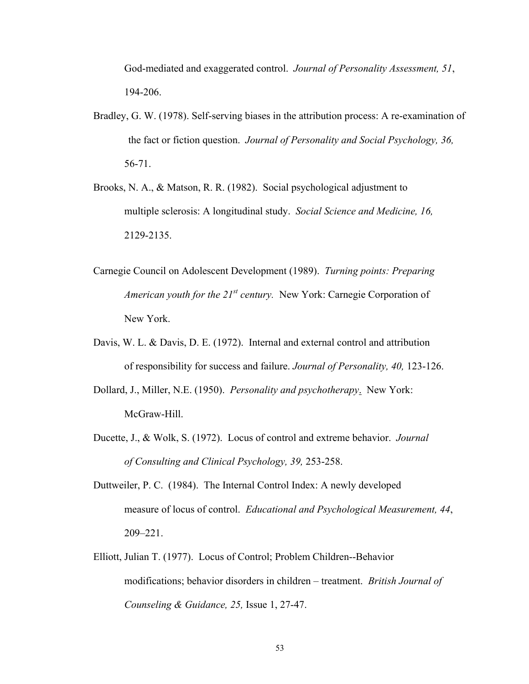God-mediated and exaggerated control. *Journal of Personality Assessment, 51*, 194-206.

- Bradley, G. W. (1978). Self-serving biases in the attribution process: A re-examination of the fact or fiction question. *Journal of Personality and Social Psychology, 36,* 56-71.
- Brooks, N. A., & Matson, R. R. (1982). Social psychological adjustment to multiple sclerosis: A longitudinal study. *Social Science and Medicine, 16,* 2129-2135.
- Carnegie Council on Adolescent Development (1989). *Turning points: Preparing American youth for the 21st century.* New York: Carnegie Corporation of New York.
- Davis, W. L. & Davis, D. E. (1972). Internal and external control and attribution of responsibility for success and failure. *Journal of Personality, 40,* 123-126.
- Dollard, J., Miller, N.E. (1950). *Personality and psychotherapy*. New York: McGraw-Hill.
- Ducette, J., & Wolk, S. (1972). Locus of control and extreme behavior. *Journal of Consulting and Clinical Psychology, 39,* 253-258.
- Duttweiler, P. C. (1984). The Internal Control Index: A newly developed measure of locus of control. *Educational and Psychological Measurement, 44*, 209–221.
- Elliott, Julian T. (1977). Locus of Control; Problem Children--Behavior modifications; behavior disorders in children – treatment. *British Journal of Counseling & Guidance, 25,* Issue 1, 27-47.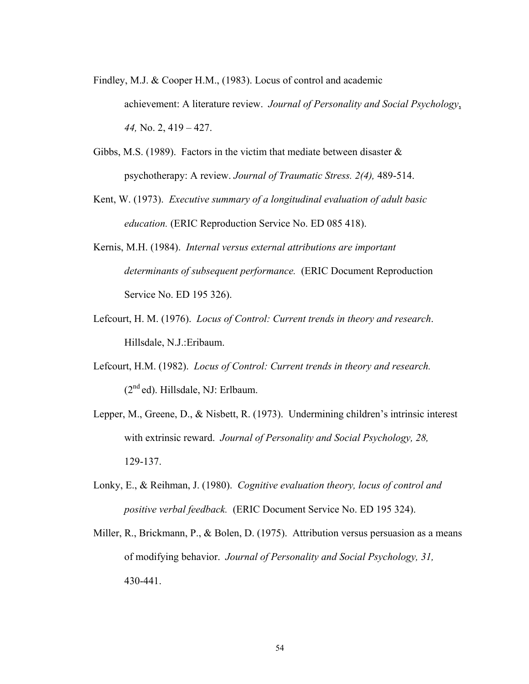Findley, M.J. & Cooper H.M., (1983). Locus of control and academic

achievement: A literature review. *Journal of Personality and Social Psychology*, *44,* No. 2, 419 – 427.

- Gibbs, M.S. (1989). Factors in the victim that mediate between disaster  $\&$ psychotherapy: A review. *Journal of Traumatic Stress. 2(4),* 489-514.
- Kent, W. (1973). *Executive summary of a longitudinal evaluation of adult basic education.* (ERIC Reproduction Service No. ED 085 418).
- Kernis, M.H. (1984). *Internal versus external attributions are important determinants of subsequent performance.* (ERIC Document Reproduction Service No. ED 195 326).
- Lefcourt, H. M. (1976). *Locus of Control: Current trends in theory and research*. Hillsdale, N.J.:Eribaum.
- Lefcourt, H.M. (1982). *Locus of Control: Current trends in theory and research.*  $(2<sup>nd</sup>$ ed). Hillsdale, NJ: Erlbaum.
- Lepper, M., Greene, D., & Nisbett, R. (1973). Undermining children's intrinsic interest with extrinsic reward. *Journal of Personality and Social Psychology, 28,* 129-137.
- Lonky, E., & Reihman, J. (1980). *Cognitive evaluation theory, locus of control and positive verbal feedback.* (ERIC Document Service No. ED 195 324).
- Miller, R., Brickmann, P., & Bolen, D. (1975). Attribution versus persuasion as a means of modifying behavior. *Journal of Personality and Social Psychology, 31,* 430-441.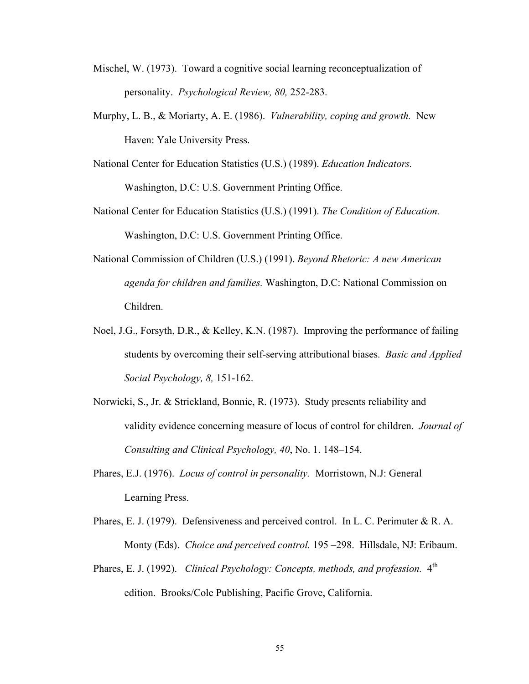- Mischel, W. (1973). Toward a cognitive social learning reconceptualization of personality. *Psychological Review, 80,* 252-283.
- Murphy, L. B., & Moriarty, A. E. (1986). *Vulnerability, coping and growth.* New Haven: Yale University Press.
- National Center for Education Statistics (U.S.) (1989). *Education Indicators.* Washington, D.C: U.S. Government Printing Office.
- National Center for Education Statistics (U.S.) (1991). *The Condition of Education.* Washington, D.C: U.S. Government Printing Office.
- National Commission of Children (U.S.) (1991). *Beyond Rhetoric: A new American agenda for children and families.* Washington, D.C: National Commission on Children.
- Noel, J.G., Forsyth, D.R., & Kelley, K.N. (1987). Improving the performance of failing students by overcoming their self-serving attributional biases. *Basic and Applied Social Psychology, 8,* 151-162.
- Norwicki, S., Jr. & Strickland, Bonnie, R. (1973). Study presents reliability and validity evidence concerning measure of locus of control for children. *Journal of Consulting and Clinical Psychology, 40*, No. 1. 148–154.
- Phares, E.J. (1976). *Locus of control in personality.* Morristown, N.J: General Learning Press.
- Phares, E. J. (1979). Defensiveness and perceived control. In L. C. Perimuter & R. A. Monty (Eds). *Choice and perceived control.* 195 –298. Hillsdale, NJ: Eribaum.
- Phares, E. J. (1992). *Clinical Psychology: Concepts, methods, and profession.* 4<sup>th</sup> edition. Brooks/Cole Publishing, Pacific Grove, California.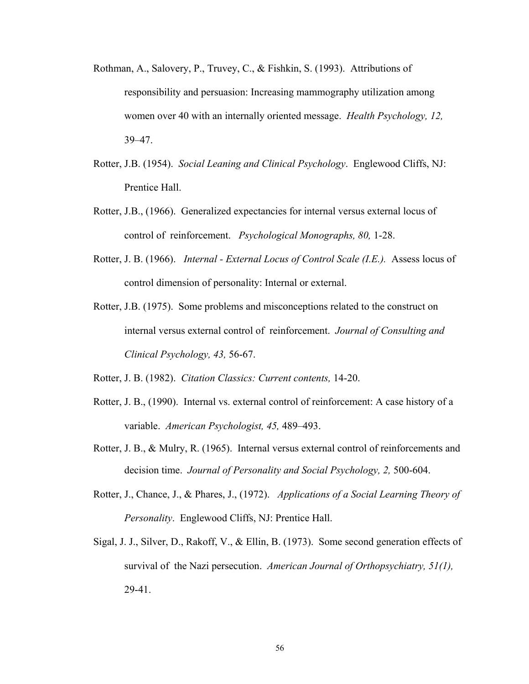- Rothman, A., Salovery, P., Truvey, C., & Fishkin, S. (1993). Attributions of responsibility and persuasion: Increasing mammography utilization among women over 40 with an internally oriented message. *Health Psychology, 12,* 39–47.
- Rotter, J.B. (1954). *Social Leaning and Clinical Psychology*. Englewood Cliffs, NJ: Prentice Hall.
- Rotter, J.B., (1966). Generalized expectancies for internal versus external locus of control of reinforcement. *Psychological Monographs, 80,* 1-28.
- Rotter, J. B. (1966). *Internal External Locus of Control Scale (I.E.).* Assess locus of control dimension of personality: Internal or external.
- Rotter, J.B. (1975). Some problems and misconceptions related to the construct on internal versus external control of reinforcement. *Journal of Consulting and Clinical Psychology, 43,* 56-67.
- Rotter, J. B. (1982). *Citation Classics: Current contents,* 14-20.
- Rotter, J. B., (1990). Internal vs. external control of reinforcement: A case history of a variable. *American Psychologist, 45,* 489–493.
- Rotter, J. B., & Mulry, R. (1965). Internal versus external control of reinforcements and decision time. *Journal of Personality and Social Psychology, 2,* 500-604.
- Rotter, J., Chance, J., & Phares, J., (1972). *Applications of a Social Learning Theory of Personality*. Englewood Cliffs, NJ: Prentice Hall.
- Sigal, J. J., Silver, D., Rakoff, V., & Ellin, B. (1973). Some second generation effects of survival of the Nazi persecution. *American Journal of Orthopsychiatry, 51(1),* 29-41.